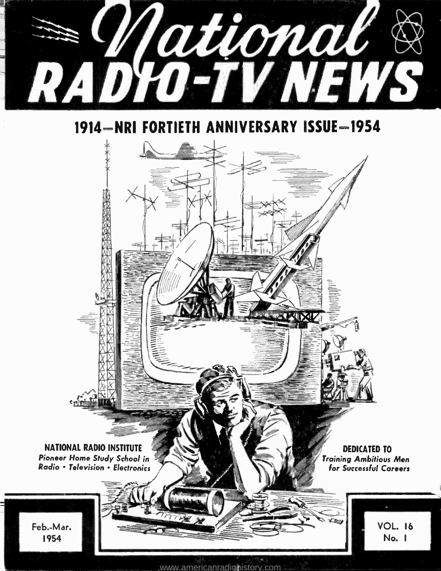

1914-NRI FORTIETH ANNIVERSARY ISSUE-1954

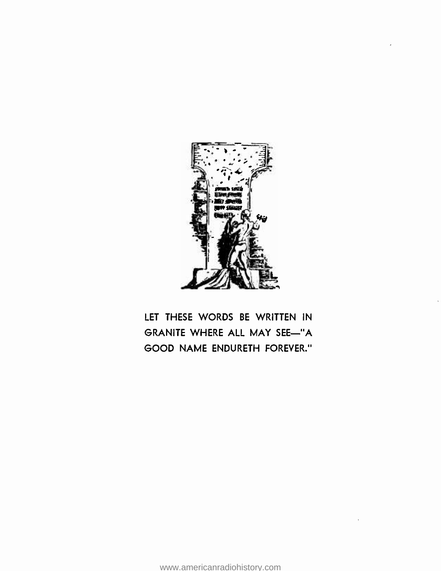

LET THESE WORDS BE WRITTEN IN GRANITE WHERE ALL MAY SEE-"A GOOD NAME ENDURETH FOREVER."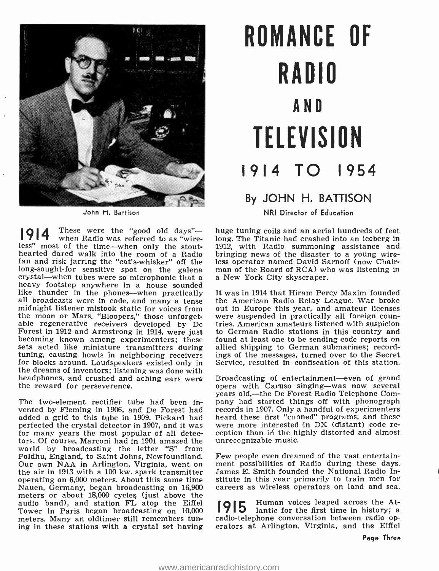

John H. Battison

 $1914$  when Radio was referred to as "wire-These were the "good old days"less" most of the time—when only the stout-<br>hearted dared walk into the room of a Radio fan and risk jarring the "cat's-whisker" off the less operator named David Sarnoff (now Chairlong-sought-for sensitive spot on the galena man of the Board of RCA) who was listening in crystal—when tubes were so microphonic that a a New York City skyscraper.<br>heavy footstep anywhere in a house sounded like thunder in the phones—when practically all broadcasts were in code, and many a tense midnight listener mistook static for voices from out in Europe this year, and amateur licenses the moon or Mars. "Bloopers." those unforget- were suspended in practically all foreign counthe moon or Mars. "Bloopers," those unforget-<br>able regenerative receivers developed by De tries. American amateurs listened with suspicion<br>Forest in 1912 and Armstrong in 1914, were just to German Radio stations in this co becoming known among experimenters; these found at least one to be sending code reports on sets acted like miniature transmitters during tuning, causing howls in neighboring receivers for blocks around. Loudspeakers existed only in the dreams of inventors; listening was done with headphones, and crushed and aching ears were the reward for perseverence.

The two-element rectifier tube had been invented by Fleming in 1906, and De Forest had records in 1907. Only a handful of experimenters added a grid to this tube in 1909. Pickard had heard these first "canned" programs, and these added a grid to this tube in 1909. Pickard had heard these first "canned" programs, and these perfected the crystal detector in 1907, and it was were more interested in DX (distant) code refor many years the most popular of all detectors. Of course, Marconi had in 1901 amazed the world by broadcasting the letter "S" from Poldhu, England, to Saint Johns, Newfoundland. Our own NAA in Arlington, Virginia, went on the air in 1913 with a 100 kw. spark transmitter operating on 6,000 meters. About this same time Nauen, Germany, began broadcasting on 16,900 meters or about 18,000 cycles (just above the audio band), and station  $FL$  atop the Eiffel  $1915$ <br>Tower in Peris began broadcasting on 10,000 Tower in Paris began broadcasting on 10,000 meters. Many an oldtimer still remembers tuning in these stations with a crystal set having

# ROMANCE OF RADIO AND **TELEVISION** 1914 TO 1954

## By JOHN H. BATTISON

NRI Director of Education

huge tuning coils and an aerial hundreds of feet long. The Titanic had crashed into an iceberg in 1912, with Radio summoning assistance and bringing news of the disaster to a young wireless operator named David Sarnoff (now Chair-

It was in 1914 that Hiram Percy Maxim founded the American Radio Relay League. War broke out in Europe this year, and amateur licenses to German Radio stations in this country and allied shipping to German submarines; recordings of the messages, turned over to the Secret Service, resulted in confiscation of this station.

Broadcasting of entertainment-even of grand opera with Caruso singing-was now several years old,--the De Forest Radio Telephone Company had started things off with phonograph<br>records in 1907. Only a handful of experimenters<br>heard these first "canned" programs, and these<br>were more interested in DX (distant) code re-<br>vere more interested in DX (distant) unrecognizable music.

Few people even dreamed of the vast entertainment possibilities of Radio during these days. James E. Smith founded the National Radio Institute in this year primarily to train men for careers as wireless operators on land and sea.

Human voices leaped across the Atlantic for the first time in history; a radio-telephone conversation between radio operators at Arlington, Virginia, and the Eiffel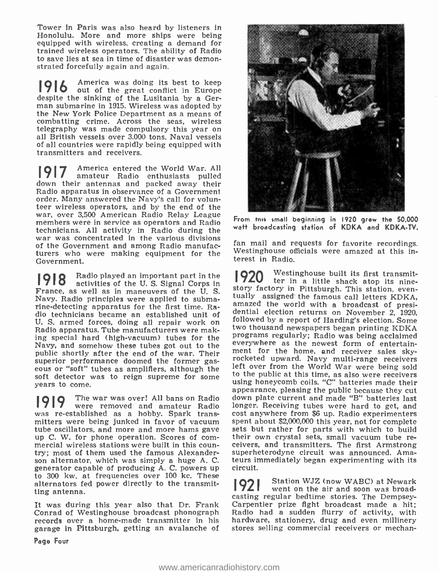Tower in Paris was also heard by listeners in Honolulu. More and more ships were being equipped with wireless, creating a demand for trained wireless operators. The ability of Radio to save lies at sea in time of disaster was demonstrated forcefully again and again.

**916** America was doing its best to keep despite the sinking of the Lusitania by a German submarine in 1915. Wireless was adopted by the New York Police Department as a means of combatting crime. Across the seas, wireless telegraphy was made compulsory this year on all British vessels over 3,000 tons. Naval vessels of all countries were rapidly being equipped with transmitters and receivers.

amateur Radio enthusiasts pulled America entered the World War. All down their antennas and packed away their Radio apparatus in observance of a Government order. Many answered the Navy's call for volunteer wireless operators, and by the end of the members were in service as operators and Radio technicians. All activity in Radio during the war was concentrated in the various divisions<br>of the Covernment and among Badio manufac. Ian mail and requests for favorite recordings. of the Government and among Radio manufacturers who were making equipment for the Government.

**1918** activities of the U.S. Signal Corps in Radio played an important part in the France, as well as in maneuvers of the U.S. signal Corps in State State in The Prance, as well as in maneuvers of the U.S. Story factory in Pittsburgh. This station, even-<br>Nevy Pedia principles wave annihed to submatically Navy. Radio principles were applied to submarine- detecting apparatus for the first time. Radio technicians became an established unit of dential election returns on November 2, 1920,<br>Il S, armed forces doing all repair work on followed by a report of Harding's election. Some U. S. armed forces, doing all repair work on Radio apparatus. Tube manufacturers were making special hard (high-vacuum) tubes for the Navy, and somehow these tubes got out to the public shortly after the end of the war. Their ment for the home, and receiver sales sky-<br>superior performance doomed the former gas-<br>cocketed upward. Navy multi-range receivers eous or "soft" tubes as amplifiers, although the soft detector was to reign supreme for some years to come.

The war was over! All bans on Radio<br>were removed and amateur Radio was re-established as a hobby. Spark transwas re-established as a hobby. Spark trans-<br>mitters were being junked in favor of vacuum spent about \$2,000,000 this year, not for complete tube oscillators, and more and more hams gave sets but rather for parts with which to build up C. W. for phone operation. Scores of com-<br>their own crystal sets, small vacuum tube remercial wireless stations were built in this coun-ceivers, and transmitters. The first Armstrong try; most of them used the famous Alexander-superheterodyne circuit was announced. Amasson alternator, which was simply a hug generator capable of producing A. C. powers up to 300 kw. at frequencies over 100 kc. These alternators fed power directly to the transmitting antenna.

It was during this year also that Dr. Frank Carpentier prize fight broadcast made a hit;<br>Conrad of Westinghouse broadcast phonograph Radio had a sudden flurry of activity, with records over a home-made transmitter in his garage in Pittsburgh, getting an avalanche of



From this small beginning in 1920 grew the 50,000 watt broadcasting station of KDKA and KDKA-TV.

Westinghouse officials were amazed at this interest in Radio.

Westinghouse built its first transmit-<br>ter in a little shack atop its nineamazed the world with a broadcast of presi-<br>dential election returns on November 2, 1920, two thousand newspapers began printing KDKA programs regularly; Radio was being acclaimed everywhere as the newest form of entertainment for the home, and receiver sales skyleft over from the World War were being sold to the public at this time, as also were receivers using honeycomb coils. "C" batteries made their appearance, pleasing the public because they cut down plate current and made "B" batteries last longer. Receiving tubes were hard to get, and spent about \$2,000,000 this year, not for complete sets but rather for parts with which to build superheterodyne circuit was announced. Amateurs immediately began experimenting with its circuit.

1921 went on the air and soon was broad-Station WJZ (now WABC) at Newark casting regular bedtime stories. The Dempsey-Radio had a sudden flurry of activity, with hardware, stationery, drug and even millinery stores selling commercial receivers or mechan-

Page Four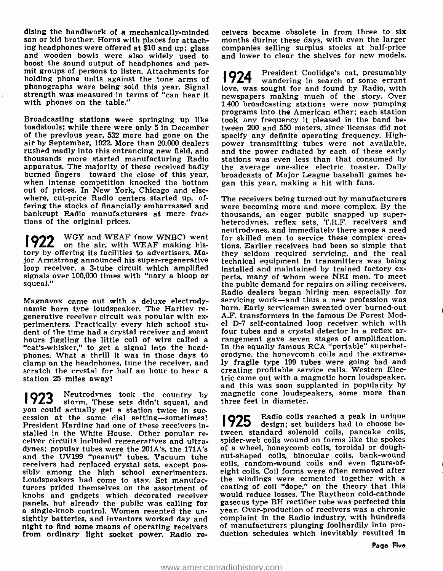dising the handiwork of a mechanically-minded<br>son or kid brother. Horns with places for attach-<br>ing headphones were offered at \$10 and up; glass and wooden bowls were also widely used to boost the sound output of headphones and permit groups of persons to listen. Attachments for  $\log$  1924 holding phone units against the tone arms of phonographs were being sold this year. Signal strength was measured in terms of "can hear it with phones on the table."

Broadcasting stations were springing up like toadstools; while there were only 5 in December tween 200 and 550 meters, since licenses did not of the previous year, 532 more had gone on the specify any definite operating frequency. Highof the previous year, 532 more had gone on the air by September, 1922. More than 20,000 dealers power transmitting tubes were not available, rushed madly into this entrancing new field, and and the power radiated by each of these early rushed madly into this entrancing new field, and thousands more started manufacturing Radio apparatus. The majority of these received badly burned fingers toward the close of this year, when intense competition knocked the bottom out of prices. In New York, Chicago and elsewhere, cut-price Radio centers started up, ofwhere, cut-price Radio centers started up, of- The receivers being turned out by manufacturers<br>fering the stocks of financially embarrassed and were becoming more and more complex. By the bankrupt Radio manufacturers at mere fractions of the original prices.

1922 WGY and WEAF (now WNBC) went **922** on the air, with WEAF making history by offering its facilities to advertisers. Major Armstrong announced his super-regenerative technical equipment in transmitters was being<br>loop receiver, a 3-tube circuit which amplified installed and maintained by trained factory exsignals over 100,000 times with "nary a bloop or squeal."

Magnavox came out with a deluxe electrody-<br>namic horn type loudspeaker. The Hartley re-<br>generative receiver circuit was popular with ex-<br>perimenters. Practically every high school stu-<br>dent of the time had a crystal receiv hours jiggling the little coil of wire called a "cat's-whisker," to get a signal into the headphones. What a thrill it was in those days to clamp on the headphones, tune the receiver, and scratch the crystal for half an hour to hear a station 25 miles away!

Neutrodvnes took the country by storm. These sets didn't squeal, and you could actually get a station twice in succession at the same dial setting-sometimes!<br>President Harding had one of these receivers in  $\bigcap$ President Harding had one of these receivers in-<br>stalled in the White House. Other popular receiver circuits included regeneratives and ultra-<br>dynes; popular tubes were the 201A's, the 171A's and the UV199 "peanut" tubes. Vacuum tube<br>receivers had replaced crystal sets, except possibly among the high school exnerimenters. Loudspeakers had come to stay. Set manufacturers prided themselves on the assortment of coating of coil "dope," on the theory that this knobs and gadgets which decorated receiver<br>panels, but already the public was calling for a single-knob control. Women resented the un-<br>sightly batteries, and inventors worked day and night to find some means of operating receivers from ordinary light socket power. Radio re-

ceivers became obsolete in from three to six months during these days, with even the larger companies selling surplus stocks at half-price and lower to clear the shelves for new models.

1924 President Coolidge's cat, presumably wandering in search of some errant love, was sought for and found by Radio, with newspapers making much of the story. Over 1,400 broadcasting stations were now pumping programs into the American ether; each station took any frequency it pleased in the band between 200 and 550 meters, since licenses did not power transmitting tubes were not available, stations was even less than that consumed by the average one -slice electric toaster. Daily broadcasts of Major League baseball games began this year, making a hit with fans.

were becoming more and more complex. By the thousands, an eager public snapped up super-<br>heterodynes, reflex sets, T.R.F. receivers and neutrodynes, and immediately there arose a need for skilled men to service these complex crea- tions. Earlier receivers had been so simple that they seldom required servicing, and the real perts, many of whom were NRI men. To meet the public demand for repairs on ailing receivers, Radio dealers began hiring men especially for servicing work—and thus a new profession was born. Early servicemen sweated over burned-out A.F. transformers in the famous De Forest Model D-7 self-contained loop receiver which with four tubes and a crystal detector in a reflex arrangement gave seven stages of amplification. In the equally famous RCA "portable" superheterodyne, the honeycomb coils and the extremely fragile type 199 tubes were going bad and creating profitable service calls. Western Electric came out with a magnetic horn loudspeaker, and this was soon supplanted in popularity by magnetic cone loudspeakers, some more than three feet In diameter.

**1925** Radio coils reached a peak in unique design; set builders had to choose between standard solenoid coils, pancake coils, spider -web coils wound on forms like the spokes of a wheel, honeycomb coils, toroidal or doughnut-shaped coils, binocular coils, bank-wound coils, random-wound coils and even figure-ofeight coils. Coil forms were often removed after the windings were cemented together with a would reduce losses. The Raytheon cold-cathode gaseous type BH rectifier tube was perfected this year. Over -production of receivers was a chronic complaint in the Radio industry, with hundreds of manufacturers plunging foolhardily into production schedules which inevitably resulted in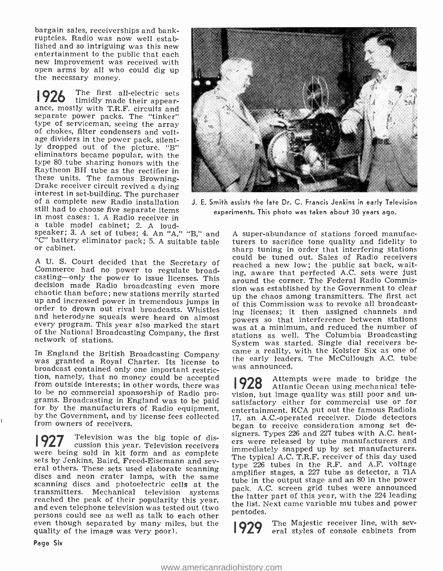bargain sales, receiverships and bankruptcies. Radio was now well estab-<br>lished and so intriguing was this new entertainment to the public that each new improvement was received with open arms by all who could dig up the necessary money.

The first all-electric sets 1926 timidly made their appearance, mostly with T.R.F. circuits and separate power packs. The "tinker"<br>type of serviceman, seeing the array of chokes, filter condensers and voltage dividers in the power pack, silently dropped out of the picture. "B" eliminators became popular, with the type 80 tube sharing honors with the Raytheon BH tube as the rectifier in<br>these units. The famous Browningstill had to choose five separate items a table model cabinet; 2. A loud-<br>speaker; 3. A set of tubes; 4. An "A," "B," and



experiments. This photo was taken about 30 years ago.

"C" battery eliminator pack; 5. A suitable table or cabinet.

order to drown out rival broadcasts. Whistles and increases; it then assigned channels and and heterodyne squeals were heard on almost powers so that interference between stations every program. This year also marked the start of the National Broadcasting Company, the first network of stations.

In England the British Broadcasting Company was granted a Royal Charter. Its license to broadcast contained only one important restriction, namely, that no money could be accepted from outside interests; in other words, there was to be no commercial sponsorship of Radio proto be no commercial sponsorship of Radio pro-<br>grams. Broadcasting in England was to be paid satisfactory either for commercial use or for<br>for by the manufacturers of Radio equipment, entertainment, RCA put out the famous R from owners of receivers.

**1927** Television was the big topic of dis-<br>were being sold in kit form and as complete sets by Jenkins, Baird, Freed-Eisemann and several others. These sets used elaborate scanning<br>discs and neon crater lamps, with the same<br>scanning scanning discs and photoelectric cells at the transmitters. Mechanical television systems reached the peak of their popularity this year, and even telephone television was tested out (two persons could see as well as talk to each other  $\frac{p_{\text{en}}}{p_{\text{out}}}$  even though separated by many miles, but the  $\frac{1929}{929}$ quality of the image was very poor).

A U. S. Court decided that the Secretary of Commerce had no power to regulate broad-<br>
casting -only the power to issue licenses. This around the corner. The Federal Radio Commis-<br>
decision made Radio broadcasting even more A super-abundance of stations forced manufacturers to sacrifice tone quality and fidelity to sharp tuning in order that interfering stations could be tuned out. Sales of Radio receivers reached a new low; the public sat back, waiting, aware that perfected A.C. sets were just sion was established by the Government to clear up the chaos among transmitters. The first act of this Commission was to revoke all broadcasting licenses; it then assigned channels and was at a minimum, and reduced the number of stations as well. The Columbia Broadcasting System was started. Single dial receivers be- came a reality, with the Kolster Six as one of the early leaders. The McCullough A.C. tube was announced.

> **928** Attempts were made to bridge the 7 Atlantic Ocean using mechanical telesatisfactory either for commercial use or for entertainment. RCA put out the famous Radiola 17, an A.C.-operated receiver. Diode detectors began to receive consideration among set designers. Types 226 and 227 tubes with A.C. heaters were released by tube manufacturers and immediately snapped up by set manufacturers. The typical A.C. T.R.F. receiver of this day used type 226 tubes in the R.F. and A.F. voltage amplifier stages, a 227 tube as detector, a 71A tube in the output stage and an 80 in the power pack. A.C. screen grid tubes were announced the latter part of this year, with the 224 leading the list. Next came variable mu tubes and power pentodes.

The Majestic receiver line, with sev-<br>eral styles of console cabinets from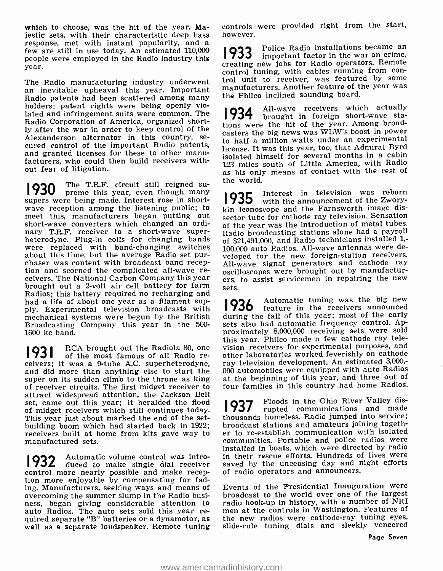which to choose, was the hit of the year. Majestic sets, with their characteristic deep bass response, met with instant popularity, and a few are still in use today. An estimated  $110,000$  | 933 people were employed in the Radio industry this year.

The Radio manufacturing industry underwent<br>an inevitable upheaval this year. Important manufacturers, Another feature of the year was<br>Padio patents hed been seattered among many the Philco inclined sounding board. Radio patents had been scattered among many holders; patent rights were being openly violated and infringement suits were common. The |934 Radio Corporation of America, organized shortly after the war in order to keep control of the cured control of the important Radio patents, and granted licenses for these to other manu- facturers, who could then build receivers without fear of litigation.

1930 The T.R.F. circuit still reigned su-<br>supers were being made. Interest rose in short-<br>1935 wave reception among the listening public; to meet this, manufacturers began putting out short-wave converters which changed an ordinary T.R.F. receiver to a short-wave super-<br>heterodyne. Plug-in coils for changing bands heterodyne. Plug-in coils for changing bands of<br>were replaced with band-changing switches 100 about this time, but the average Radio set pur- chaser was content with broadcast band reception and scorned the complicated all-wave re-<br>ceivers. The National Carbon Company this year ers,<br>brought out a 2-volt air cell battery for farm sets. Radios; this battery required no recharging and<br>had a life of about one year as a filament sup-<br>nly Experimental television broadcasts with 1936 had a life of about one year as a filament supply. Experimental television broadcasts with mechanical systems were begun by the British Broadcasting Company this year in the 500- 1600 kc band.

**1931** RCA brought out the Radiola 80, one of the most famous of all Radio receivers; it was a 9-tube A.C. superheterodyne, and did more than anything else to start the super on its sudden climb to the throne as king of receiver circuits. The first midget receiver to attract widespread attention, the Jackson Bell<br>set, came out this year; it heralded the flood<br>of midget receivers which still continues today. set, came out this year; it heralded the flood<br>of midget receivers which still continues today. This year just about marked the end of the set-<br>building boom which had started back in 1922; receivers built at home from kits gave way to er to re-establish communication with isolated<br>communities. Portable and police radios were manufactured sets.

1932 Automatic volume control was intro- in<br>1932 duced to make single dial receiver say control more nearly possible and make reception more enjoyable by compensating for fading. Manufacturers, seeking ways and means of Events of the Presidential Inauguration were<br>overcoming the summer slump in the Radio busi- broadcast to the world over one of the largest overcoming the summer slump in the Radio business, began giving considerable attention to radio hook-up in history, with a number of NRI auto Radios. The auto sets sold this year re- men at the controls in Washington. Features of quired separate "B" batteries or a dynamotor, as well as a separate loudspeaker. Remote tuning

controls were provided right from the start, however.

Police Radio installations became an important factor in the war on crime, creating new jobs for Radio operators. Remote trol unit to receiver, was featured by some

All-wave receivers which actually brought in foreign short-wave stations were the hit of the year. Among broadcasters the big news was WLW's boost in power to half a million watts under an experimental license. It was this year, too, that Admiral Byrd isolated himself for several months in a cabin<br>123 miles south of Little America, with Radio as his only means of contact with the rest of the world.

**1935** Interest in television was reborn with the announcement of the Zworykin iconoscope and the Farnsworth image dissector tube for cathode ray television. Sensation of the year was the introduction of metal tubes. Radio broadcasting stations alone had a payroll of \$21,491,000, and Radio technicians installed 1; 100,000 auto Radios. All-wave antennas were developed for the new foreign-station receivers. All-wave signal generators and cathode ray oscilloscopes were brought out by manufacturers, to assist servicemen in repairing the new

Automatic tuning was the big new feature in the receivers announced during the fall of this year; most of the early sets also had automatic frequency control. Approximately 8,000,000 receiving sets were sold this year. Philco made a few cathode ray television receivers for experimental purposes, and other laboratories worked feverishly on cathode ray television development. An estimated 3,000,- 000 automobiles were equipped with auto Radios at the beginning of this year, and three out of four families in this country had home Radios.

1937 Floods in the Ohio River Valley dis-rupted communications and made thousands homeless. Radio jumped into service; broadcast stations and amateurs joining together to re-establish communication with isolated installed in boats, which were directed by radio in their rescue efforts. Hundreds of lives were saved by the unceasing day and night efforts of radio operators and announcers.

Events of the Presidential Inauguration were radio hook-up in history, with a number of NRI the new radios were cathode-ray tuning eyes, slide-rule tuning dials and sleekly veneered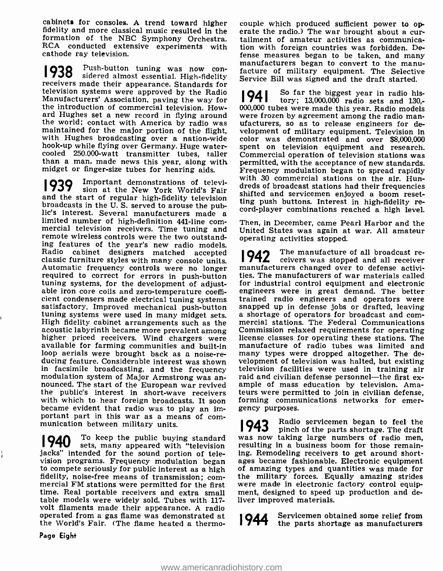cabinets for consoles. A trend toward higher couple which produced sufficient power to op-<br>fidelity and more classical music resulted in the erate the radio.) The war brought about a cur-<br>formation of the NBC Symphony Orch RCA conducted extensive experiments with cathode ray television.

**1938** Push-button tuning was now con-<br>1938 sidered almost essential. High-fidelity **1938** Push-button tuning was now con-<br>racture of military equipment. The Selective<br>receivers made their appearance. Standards for<br>service Bill was signed and the draft started. television systems were approved by the Radio Manufacturers' Association, paving the way for the introduction of commercial television. Howard Hughes set a new record in flying around were frozen by agreement among the radio man-<br>the world; contact with America by radio was ufacturers, so as to release engineers for de-<br>maintained for the major portion of the cooled  $250.000$ -watt transmitter tubes, taller Commercial operation of television stations was than a man, made news this year, along with permitted, with the acceptance of new standards. midget or finger-size tubes for hearing aids.

Important demonstrations of televi-1939 and the start of regular high-fidelity television<br>broadcasts in the U.S. served to arouse the pubbroadcasts in the U. S. served to arouse the pub-<br>interest. Several manufacturers made a<br>limited number of high-definition 441-line com-<br>mercial television receivers. Time tuning and United States was again at war. All ama remote wireless controls were the two outstanding features of the year's new radio models. classic furniture styles with many console units. Automatic frequency controls were no longer<br>required to correct for errors in push-button<br>tuning systems, for the development of adjustable iron core coils and zero-temperature coefficient condensers made electrical tuning systems cient condensers made electrical tuning systems trained radio engineers and operators were<br>satisfactory. Improved mechanical push-button snapped up in defense jobs or drafted, leaving<br>tuning systems were used in many midge tuning systems were used in many midget sets. A shortage of operators for broadcast and com-<br>High fidelity cabinet arrangements such as the mercial stations. The Federal Communications High fidelity cabinet arrangements such as the acoustic labyrinth became more prevalent among higher priced receivers. Wind chargers were license classes for operating these stations. The available for farming communities and built-in manufacture of radio tubes was limited and loop aerials were brought back as a no ducing feature. Considerable interest was shown velopment of television was halted, but existing<br>in facsimile broadcasting, and the frequency television facilities were used in training air modulation system of Major Armstrong was an-<br>nounced. The start of the European war revived ample of mass education by television. Amathe public's interest in short-wave receivers teurs were permitted to join in civilian defense, with which to hear foreign broadcasts. It soon forming communications networks for emerwith which to hear foreign broadcasts. It soon became evident that radio was to play an important part in this war as a means of com- munication between military units.

**1940** To keep the public buying standard was now taking large numbers of radio men, it also ment of the public buying standard with "television resulting in a business boom for those remainsets, many appeared with "television jacks" intended for the sound portion of television programs. Frequency modulation began ages became fashionable. Electronic equipment to compete seriously for public interest as a high fidelity, noise-free means of transmission; com-<br>mercial FM stations were permitted for the first time. Real portable receivers and extra small table models were widely sold. Tubes with 117 - volt filaments made their appearance. A radio operated from a gas flame was demonstrated at  $\bigotimes_{\mathbf{A}} \mathbf{A}$ the World's Fair. (The flame heated a thermo-

erate the radio.) The war brought about a curtion with foreign countries was forbidden. Defense measures began to be taken, and many facture of military equipment. The Selective Service Bill was signed and the draft started.

than a man, made news this year, along with permitted, with the acceptance of new standards.<br>midget or finger-size tubes for hearing aids. Frequency modulation began to spread rapidly sion at the New York World's Fair areas of producest stations had then requencies <sup>I</sup>94 <sup>I</sup> So far the biggest year in radio history; 13,000,000 radio sets and 130,- 000,000 tubes were made this year. Radio models velopment of military equipment. Television in color was demonstrated and over \$8,000,000 spent on television equipment and research. Commercial operation of television stations was with 30 commercial stations on the air. Hundreds of broadcast stations had their frequencies ting push buttons. Interest in high-fidelity re-

> Then, in December, came Pearl Harbor and the United States was again at war. All amateur operating activities stopped.

> **1942** The manufacture of all broadcast receivers was stopped and all receivers manufacturers changed over to defense activities. The manufacturers of war materials called for industrial control equipment and electronic engineers were in great demand. The better snapped up in defense jobs or drafted, leaving Commission relaxed requirements for operating manufacture of radio tubes was limited and many types were dropped altogether. The development of television was halted, but existing raid and civilian defense personnel—the first exteurs were permitted to join in civilian defense, gency purposes.

> **1943** Radio servicemen began to feel the<br>**1943** pinch of the parts shortage. The draft was now taking large numbers of radio men, ing. Remodeling receivers to get around shortof amazing types and quantities was made for the military forces. Equally amazing strides were made in electronic factory control equipment, designed to speed up production and deliver improved materials.

Servicemen obtained some relief from<br>the parts shortage as manufacturers

Page Eight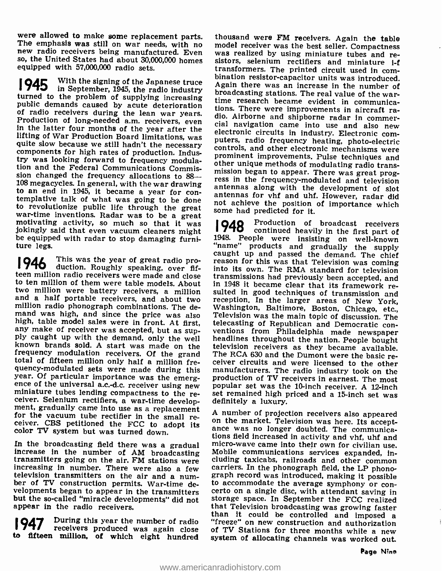were allowed to make some replacement parts. thousand were FM receivers. Again the table<br>The emphasis was still on war needs, with no model receiver was the best seller. Compactness<br>new radio receivers being manufactured. equipped with 57,000,000 radio sets.

945 With the signing of the Japan<br>in September, 1945, the radio Production of long-needed a.m. receivers, even<br>in the latter four months of the year after the<br>lifting of War Production Board limitations, was<br>quite slow because we still hadn't the necessary<br>components for high rates of try was looking forward to frequency modulation and the Federal Communications Commission and the redetal communications commis-<br>sion changed the frequency allocations to 88—<br>108 megacycles. In general, with the war drawing<br>antennas along with the dovelopment of clat to an end in 1945, it became a year for con-<br>templative talk of what was going to be done<br>to revolutionize public life through the great war-time inventions. Radar was to be a great<br>motivating activity, so much so that it was<br>jokingly said that even vacuum cleaners might<br>be equipped with radar to stop damaging furniture legs.

1946 This was the year of great radio pro**i** 7 TU duction. Roughly speaking, over fif-<br>teen million radio receivers were made and close transmissions had previously been accepted, and to ten million of them were table models. About in 1948 it became clear that its framework re-<br>two million were battery receivers, a million sulted in good techniques of transmission and and a half portable receivers, and about two reception. In the larger areas of New York, million radio phonograph combinations. The de-<br>mand was high, and since the price was also Television was the main topic of discussio ply caught up with the demand, only the well<br>known brands sold. A start was made on the<br>frequency modulation receivers. Of the grand<br>total of fifteen million only half a million fretotal of fifteen million only half a million fre-<br>quency-modulated sets were made during this manufacturers. The radio industry took on the<br>year. Of particular importance was the emerg- production of TV receivers in earnes ence of the universal a.c.-d.c. receiver using new<br>miniature tubes lending compactness to the re-<br>ceiver. Selenium rectifiers, a war-time develop-<br>ment, gradually came into use as a replacement<br>for the vacuum tube rectifie

appear in the radio receivers.

**1947** During this year the number of radio "free receivers produced was again close of

so, the United States had about 30,000,000 homes sistors, selenium rectifiers and miniature i-f<br>equipped with 57,000,000 radio sets. The printed circuit used in com-1945 With the signing of the Japanese truce<br>
in September, 1945, the radio industry<br>
turned to the problem of supplying increasing<br>
public demands caused by acute deterioration<br>
public demands caused by acute deterioration thousand were FM receivers. Again the table sistors, selenium rectifiers and miniature i-f Again there was an increase in the number of<br>broadcasting stations. The real value of the war-<br>time research became evident in communica-<br>tions. There were improvements in aircraft ra-<br>tions. There were improvements in air antennas along with the development of slot antennas for vhf and uhf. However, radar did not achieve the position of importance which some had predicted for it.

> **1948** Production of broadcast receivers continued heavily in the first part of 1948. People were insisting on well-known<br>
> "name" products and gradually the supply<br>
> caught up and passed the demand. The chief<br>
> caught up and passed the demand. The chief<br>
> reason for this was that Television transmission popular set was the 10-inch receiver. A 12-inch set remained high priced and a 15-inch set was definitely a luxury.

tions field increased in activity and vhf, uhf and<br>In the broadcasting field there was a gradual<br>incro-wave came into their own for civilian use.<br>increase in the number of AM broadcasting<br>transmitters going on the air. FM to fifteen million, of which eight hundred system of allocating channels was worked out. A number of projection receivers also appeared<br>on the market. Television was here. Its accept-<br>ance was no longer doubted. The communicathan it could be controlled and imposed a<br>"freeze" on new construction and authorization of TV Stations for three months while a new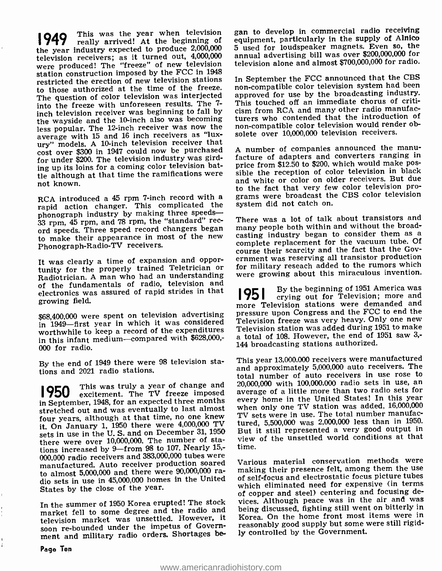**949** This was the year when television really arrived! At the beginning of the year industry expected to produce 2,000,000<br>television receivers; as it turned out, 4,000,000 were produced! The "freeze" of new television station construction imposed by the FCC in 1948<br>restricted the erection of new television stations In September the FCC announced that the CBS restricted the erection of new television stations to those authorized at the time of the freeze. The question of color television was interjected into the freeze with unforeseen results. The 7 inch television receiver was beginning to fall by the wayside and the 10-inch also was becoming turers who contended that the introduction of<br>less popular. The 12-inch receiver was now the spon-compatible color television would render obless popular. The 12-inch receiver was now the average with 15 and 16 inch receivers as "luxury" models. A 10-inch television receiver that<br>cost over \$300 in 1947 could now be purchased. A number of companies announced the manucost over \$300 in 1947 could now be purchased for under \$200. The television industry was girding up its loins for a coming color television battle although at that time the ramifications were not known.

RCA introduced a 45 rpm 7-inch record with a rapid action changer. This complicated the phonograph industry by making three speeds—33 rpm, 45 rpm, and 78 rpm, the "standard" record speeds. Three speed record changers began many people both within and without the broad-<br>to make their annearance in most of the new casting industry began to consider them as a to make their appearance in most of the new<br>Phonograph-Radio-TV receivers.

It was clearly a time of expansion and oppor-<br>tunity for the properly trained Teletrician or It was creatly a time of trained Teletrician or for military reseach added to the rumors which<br>tunity for the properly trained Teletrician or for military reseach added to the rumors which<br>Radiotrician. A man who had an un of the fundamentals of radio, television and<br>electronics was assured of rapid strides in that electronics was assured of rapid strides in that growing field.

in 1949-first year in which it was considered worthwhile to keep a record of the expenditures Television station was added during 1551 to make<br>in this infant medium—compared with \$628.000.- a total of 108. However, the end of 1951 saw 3,in this infant medium--compared with \$628,000,-000 for radio.

By the end of 1949 there were 98 television stations and 2021 radio stations.

excitement. The TV freeze imposed in September, 1948, for an expected three months stretched out and was eventually to last almost four years, although at that time, no one knew it. On January 1, 1950 there were 4,000,000 TV sets in use in the U. S. and on December 31, 1950 there were over 10,000,000. The number of stations increased by 9-from 98 to 107. Nearly 15,-000,000 radio receivers and 383,000,000 tubes were<br>manufactured, Auto receiver production soared Various, material conservation, methods, were manufactured. Auto receiver production soared to almost 5,000,000 and there were 90,000,000 radio sets in use in 45,000,000 homes in the United of self-focus and electrostatic focus picture tubes States by the close of the year.

market fell to some degree and the radio and<br>television market was unsettled. However, it soon re-bounded under the impetus of Government and military radio orders. Shortages be-

gan to develop in commercial radio receiving equipment, particularly in the supply of Alnico <sup>5</sup>used for loudspeaker magnets. Even so, the annual advertising bill was over \$200,000,000 for television alone and almost \$700,000,000 for radio.

non-compatible color television system had been approved for use by the broadcasting industry. This touched off an immediate chorus of criticism from RCA and many other radio manufacturers who contended that the introduction of solete over 10,000,000 television receivers.

facture of adapters and converters ranging in price from \$12.50 to \$200, which would make possible the reception of color television in black and white or color on older receivers. But due to the fact that very few color television programs were broadcast the CBS color television system did not catch on.

There was a lot of talk about transistors and many people both within and without the broadcomplete replacement for the vacuum tube. Of course their scarcity and the fact that the Government was reserving all transistor production were growing about this miraculous invention.

\$68,400,000 were spent on television advertising pressure upon Congress and the FCC to end the<br>in 1049, first vear in which it was considered Television freeze was very heavy. Only one new **1951** By the beginning of 1951 America was crying out for Television; more and more Television stations were demanded and pressure upon Congress and the FCC to end the Television station was added during 1951 to make 144 broadcasting stations authorized.

**950** This was truly a year of change and 20,000,000 with 100,000,000 radio sets in use, and  $\frac{20,000,000}{20,000,000}$  radio sets in use, and  $\frac{20,000,000}{20,000}$  with 100,000,000 radio sets for This year 13,000,000 receivers were manufactured and approximately 5,000,000 auto receivers. The total number of auto receivers in use rose to average of a little more than two radio sets for every home in the United States! In this year when only one TV station was added, 16,000,000 TV sets were in use. The total number manufactured, 5,500,000 was 2,000,000 less than in 1950. But it still represented a very good output in view of the unsettled world conditions at that time.

In the summer of 1950 Korea erupted! The stock vices. Although peace was in the air and was<br>market foll to some degree and the radio and being discussed, fighting still went on bitterly in making their presence felt, among them the use which eliminated need for expensive (in terms of copper and steel) centering and focusing devices. Although peace was in the air and was Korea. On the home front most items were in reasonably good supply but some were still rigidly controlled by the Government.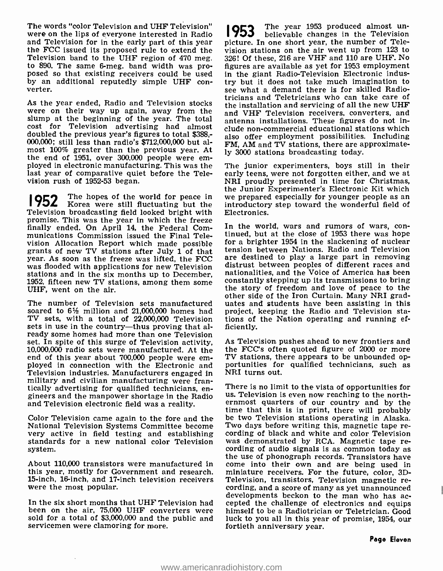The words "color Television and UHF Television" vere on the lips of everyone interested in Radio 1953<br>and Television for in the early part of this year picture. I the FCC issued its proposed rule to extend the Television band to the UHF region of 470 meg. to 890. The same 6 -meg. band width was pro- posed so that existing receivers could be used by an additional reputedly simple UHF con-<br>verter.

slump at the beginning of the year. The total cost for Television advertising had almost doubled the previous year's figures to total \$388,- 000,000; still less than radio's \$712,000,000 but almost 100% greater than the previous year. At the end of 1951, over 300,000 people were em- ployed in electronic manufacturing. This was the last year of comparative quiet before the Television rush of 1952-53 began.

**1952** The hopes of the world for peace in we Korea were still fluctuating but the int **ITOL** Korea were still fluctuating but the introductory step toward the wonderful field of Television broadcasting field looked bright with Electronics. promise. This was the year in which the freeze<br>finally ended. On April 14, the Federal Com. In the world, wars and rumors of wars, confinally ended. On April 14, the Federal Communications Commission issued the Final Television Allocation Report which made possible for a brighter 1954 in the slackening of nuclear<br>grants of new TV stations after July 1 of that tension between Nations. Radio and Television<br>year. As soon as the freeze was lif was flooded with applications for new Television distrust between peoples of different races and stations and in the six months up to December, 1952, fifteen new TV stations, among them some UHF, went on the air.

The number of Television sets manufactured soared to 6% million and 21,000,000 homes had TV sets, with a total of 22,000,000 Television sets in use in the country—thus proving that already some homes had more than one Television set. In spite of this surge of Television activity, As Television pushes ahead to new frontiers and<br>10,000,000 radio sets were manufactured. At the the FCC's often quoted figure of 2000 or more 10,000,000 radio sets were manufactured. At the the FCC's often quoted figure of 2000 or more end of this year about 700,000 people were em- TV stations, there appears to be unbounded opend of this year about 700,000 people were em- TV stations, the ployed in connection with the Electronic and portunities for Television industries. Manufacturers engaged in NRI turns out. Television industries. Manufacturers engaged in military and civilian manufacturing were fran-<br>tically advertising for qualified technicians, engineers and the manpower shortage in the Radio us. Television is even now reaching to the northand Television electronic field was a reality.

National Television Systems Committee become Two days before writing this, magnetic tape re-<br>very active in field testing and establishing cording of black and white and color Television very active in field testing and establishing cording of black and white and color Television<br>standards for a new national color Television was demonstrated by RCA. Magnetic tape re-<br>cording of audio signals is as common t system.

About 110,000 transistors were manufactured in come into their own and are being used in this year, mostly for Government and research. 15 -inch, 16 -inch, and 17 -inch television receivers were the most popular.

been on the air, 75,000 UHF converters were sold for a total of \$3,000,000 and the public and servicemen were clamoring for more.

As the year ended, Radio and Television stocks<br>were on their way up again, away from the and VHF Television receivers, converters, and<br>and VHF Television receivers, converters, and 1953 The year 1953 produced almost un- believable changes in the Television picture. In one short year, the number of Television stations on the air went up from 123 to 326! Of these, 216 are VHF and 110 are UHF. No figures are available as yet for 1953 employment in the giant Radio-Television Electronic industry but it does not take much imagination to see what a demand there is for skilled Radiothe installation and servicing of all the new UHF and VHF Television receivers, converters, and antenna installations. These figures do not include non -commercial educational stations which also offer employment possibilities. Including FM, AM and TV stations, there are approximately 3000 stations broadcasting today.

> The junior experimenters, boys still in their early teens, were not forgotten either, and we at NRI proudly presented in time for Christmas, we prepared especially for younger people as an Electronics.

> tinued, but at the close of 1953 there was hope tension between Nations. Radio and Television are destined to play a large part in removing nationalities, and the Voice of America has been constantly stepping up its transmissions to bring the story of freedom and love of peace to the other side of the Iron Curtain. Many NRI graduates and students have been assisting in this project, keeping the Radio and Television stations of the Nation operating and running efficiently.

> As Television pushes ahead to new frontiers and portunities for qualified technicians, such as

Color Television came again to the fore and the be two Television stations operating in Alaska.<br>National Television Systems Committee become Two days before writing this, magnetic tape redevelopments beckon to the man who has ac-<br>In the six short months that UHF Television had cepted the challenge of electronics and equips There is no limit to the vista of opportunities for ernmost quarters of our country and by the time that this is in print, there will probably the use of phonograph records. Transistors have miniature receivers. For the future, color, 3D-Television, transistors, Television magnetic recording, and a score of many as yet unannounced himself to be a Radiotrician or Teletrician. Good luck to you all in this year of promise, 1954, our fortieth anniversary year.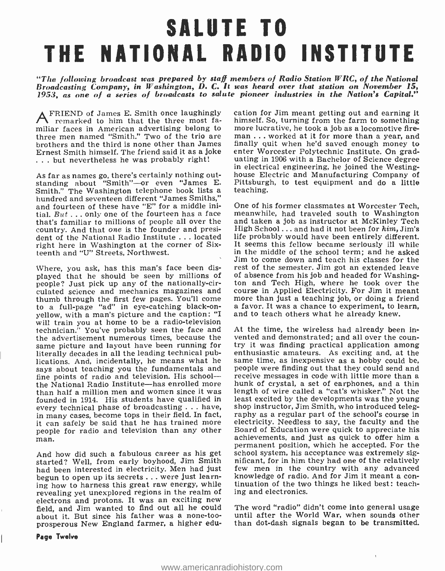## SALUTE TO THE NATIONAL RADIO INSTITUTE

"The following broadcast was prepared by staff members of Radio Station  $WRC$ , of the National Broadcasting Company, in Washington, D. C. It was heard over that station on November 15, 1953, as one of a series of broadcasts to salute pioneer industries in the Nation's Capital."

AFRIEND of James E. Smith once laughingly remarked to him that the three most familiar faces in American advertising belong to more lucrative, he took a job as a locomotive fire-<br>three men named "Smith," Two of the trio are man . . . worked at it for more than a year, and three men named "Smith." Two of the trio are brothers and the third is none other than James finally quit when he'd saved enough money to Ernest Smith himself. The friend said it as a joke enter Worcester Polytechnic Institute. On grad-Ernest Smith himself. The friend said it as a joke ... but nevertheless he was probably right!

As far as names go, there's certainly nothing out-As far as names go, there's certainly nothing out-<br>standing about "Smith"—or even "James E. Pittsburgh, to test equipment and do a little Smith." The Washington telephone book lists a teaching.<br>hundred and seventeen different "James Smiths,"<br>and fourteen of these have "E" for a middle ini- One of his former classmates at Worcester Tech. and fourteen of these have "E" for a middle initial.  $But \dots$  only one of the fourteen has a face meanwhile, had traveled south to Washington that's familiar to millions of people all over the country. And that one is the founder and president of the National Radio Institute ... located right here in Washington at the corner of Sixteenth and "U" Streets, Northwest.

Where, you ask, has this man's face been displayed that he should be seen by millions of people? Just pick up any of the nationally-circulated science and mechanics magazines and course in Applied Electricity. For Jim it meant<br>thumb through the first few pages. You'll come more than just a teaching job, or doing a friend to a full-page "ad" in eye-catching black-on- a favor. It was a chance to experiment, to learn, yellow, with a man's picture and the caption: "I and to teach others what he already knew. will train you at home to be a radio-television technician.<sup>"</sup> You've probably seen the face and At the time, the wireless had already been in-<br>the advertisement numerous times, because the vented and demonstrated; and all over the counthe advertisement numerous times, because the vented and demonstrated; and all over the coun-<br>same picture and layout have been running for try it was finding practical application among<br>literally decades in all the leadin literally decades in all the leading technical publications. And, incidentally, he means what he same time, as inexpensive as a hobby could be, says about teaching you the fundamentals and people were<br>says about teaching you the fundamentals and people were<br>fine points of radio and television. His school--- receive mess fine points of radio and television. His school—<br>the National Radio Institute—has enrolled more than half a million men and women since it was the institute than half a million men and women since it was founded in 1914. every technical phase of broadcasting . . . have, shop instructor, Jim Smith, who introduced teleg-<br>in many cases, become tops in their field. In fact, raphy as a regular part of the school's course in in many cases, become tops in their field. In fact, it can safely be said that he has trained more people for radio and television than any other man.

started? Well, from early boyhood, Jim Smith had been interested in electricity. Men had just few men in the country with any advanced<br>begun to open up its secrets ... were just learn- knowledge of radio. And for Jim it meant a conbegun to open up its secrets . .. were just learning how to harness this great raw energy, while revealing yet unexplored regions in the realm of electrons and protons. It was an exciting new field, and Jim wanted to find out all he could The word "radio" didn't come into general usage about it. But since his father was a none-tooprosperous New England farmer, a higher edu-

cation for Jim meant getting out and earning it more lucrative, he took a job as a locomotive firefinally quit when he'd saved enough money to uating in 1906 with a Bachelor of Science degree<br>in electrical engineering, he joined the Westing-Pittsburgh, to test equipment and do a little teaching.

and taken a job as instructor at McKinley Tech High School ... and had it not been for him, Jim's life probably would have been entirely different. It seems this fellow became seriously ill while in the middle of the school term; and he asked Jim to come down and teach his classes for the rest of the semester. Jim got an extended leave of absence from his job and headed for Washington and Tech High, where he took over the

And how did such a fabulous career as his get school system, his acceptance was extremely sig-<br>started? Well, from early boyhood, Jim Smith nificant, for in him they had one of the relatively At the time, the wireless had already been intry it was finding practical application among people were finding out that they could send and receive messages in code with little more than a length of wire called a "cat's whisker." Not the least excited by the developments was the young electricity. Needless to say, the faculty and the Board of Education were quick to appreciate his permanent position, which he accepted. For the school system, his acceptance was extremely sigfew men in the country with any advanced tinuation of the two things he liked best: teaching and electronics.

> until after the World War, when sounds other than dot -dash signals began to be transmitted.

> > $\overline{1}$

## Page Twelve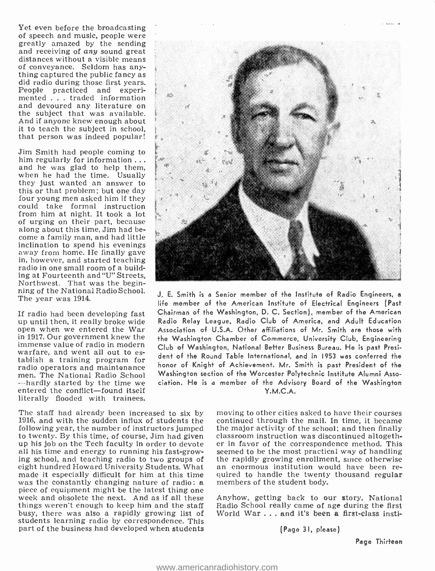Yet even before the broadcasting<br>of speech and music, people were<br>greatly amazed by the sending<br>and receiving of  $any$  sound great<br>distances without a visible means<br>of conveyance. Seldom has any-<br>thing captured the public the subject that was available. And if anyone knew enough about it to teach the subject in school, that person was indeed popular!

Jim Smith had people coming to him regularly for information ... and he was glad to help them, when he had the time. Usually they just wanted an answer to this or that problem; but one day four young men asked him if they could take formal instruction from him at night. It took a lot of urging on their part, because<br>along about this time, Jim had become a family man, and had little inclination to spend his evenings away from home. He finally gave<br>in, however, and started teaching<br>radio in one small room of a build-<br>ing at Fourteenth and "U" Streets. Northwest. That was the begin-<br>ning of the National Radio School. The year was 1914.

If radio had been developing fast up until then, it really broke wide open when we entered the War in 1917. Our government knew the immense value of radio in modern tablish a training program for<br>radio operators and maintenance men. The National Radio School<br>--hardly started by the time we<br>entered the conflict--found itself literally flooded with trainees.

The staff had already been increased to six by moving to other cities asked to have their courses 1916, and with the sudden influx of students the continued through the mail. In time, it became following year, the number of instructors jumped the major activity of the school; and then finally following year, the number of instructors jumped to twenty. By this time, of course, Jim had given up his job on the Tech faculty in order to devote er in favor of the correspondence method. This all his time and energy to running his fast-grow- seemed to be the most practical way of handling ing school, and teaching radio to two groups of the rapidly growing enrollment, since otherwise eight hundred Howard University Students. What an enormous institution would have been reeight hundred Howard University Students. What was the constantly changing nature of radio: a phenometric for the student body.<br>piece of equipment might be the latest thing one week and obsolete the next. And as if all these Anyhow, getting back to our things weren't enough to keep him and the staff busy, there was also a rapidly growing list of students learning radio by correspondence. This part of the business had developed when students



J. E. Smith is a Senior member of the Institute of Radio Engineers, <sup>a</sup>life member of the American Institute of Electrical Engineers (Past Chairman of the Washington, D. C. Section), member of the American Radio Relay League, Radio Club of America, and Adult Education Association of U.S.A. Other affiliations of Mr. Smith are those with the Washington Chamber of Commerce. University Club, Engineering Club of Washington, National Better Business Bureau. He is past President of the Round Table International, and in 1953 was conferred the honor of Knight of Achievement. Mr. Smith is past President of the Washington section of the Worcester Polytechnic Institute Alumni Association. He is a member of the Advisory Board of the Washington Y.M.C.A.

> continued through the mail. In time, it became classroom instruction was discontinued altogether in favor of the correspondence method. This the rapidly growing enrollment, since otherwise quired to handle the twenty thousand regular

> Anyhow, getting back to our story, National Radio School really came of age during the first World War . . . and it's been a first-class insti-

> > (Page 31, please)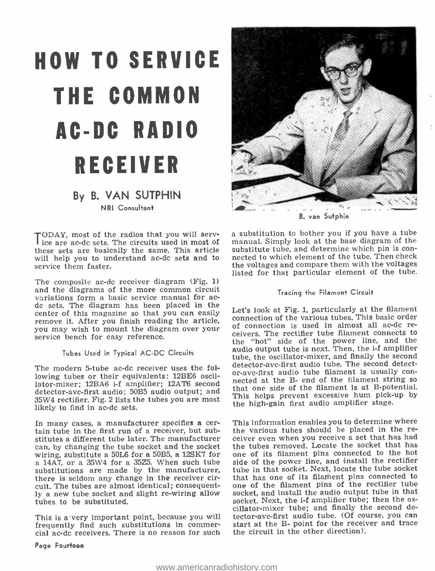# HOW TO SERVICE THE COMMON AC -DC RADIO RECEIVER

## By B. VAN SUTPHIN NRI Consultant

these sets are basically the same. This article will help you to understand ac-dc sets and to service them faster.

The composite ac-dc receiver diagram (Fig. 1) and the diagrams of the more common circuit<br>variations form a basic service manual for acdc sets. The diagram has been placed in the center of this magazine so that you can easily remove it. After you finish reading the article, connection of the various tubes. This basic order<br>you may wish to mount the diagram over your of connection is used in almost all ac-de reyou may wish to mount the diagram over your service bench for easy reference.

### Tubes Used in Typical AC -DC Circuits

The modern 5-tube ac-dc receiver uses the following tubes or their equivalents: 12BE6 oscillowing tubes of their equivalents: 12BE6 oscil-<br>lator-mixer; 12BA6 i-f amplifier; 12AT6 second<br>discussed that one side of the filament is at B-potential. detector -avc -first audio; 50B5 audio output; and 35W4 rectifier. Fig. 2 lists the tubes you are most likely to find in ac-dc sets.

In many cases, a manufacturer specifies a certain tube in the first run of a receiver, but substitutes a different tube later. The manufacturer — ceiver even when you receive a set that has had<br>can, by changing the tube socket and the socket — the tubes removed. Locate the socket that has can, by changing the tube socket and the socket wiring, substitute a 50L6 for a 50B5, a 12SK7 for a 14A7, or a 35W4 for a 35Z5. When such tube substitutions are made by the manufacturer, tube in that socket. Next, locate the tube socket<br>there is seldom any change in the receiver cir- that has one of its filament pins connected to there is seldom any change in the receiver circuit. The tubes are almost identical; consequently a new tube socket and slight re-wiring allow tubes to be substituted.

frequently find such substitutions in commer- cial ac -dc receivers. There is no reason for such



B. van Sutphin

TODAY, most of the radios that you will serv-<br>ice are ac-dc sets. The circuits used in most of manual. Simply look at the base diagram of the<br>these sets are basically the same. This article substitute tube, and determine w a substitution to bother you if you have a tube manual. Simply look at the base diagram of the nected to which element of the tube. Then check the voltages and compare them with the voltages listed for that particular element of the tube.

### Tracing the Filament Circuit

Let's look at Fig. 1, particularly at the filament connection of the various tubes. This basic order ceivers. The rectifier tube filament connects to the "hot" side of the power line, and the audio output tube is next. Then, the i-f amplifier tube, the oscillator-mixer, and finally the second<br>detector-avc-first audio tube. The second detector-avc-first audio tube filament is usually con-This helps prevent excessive hum pick-up by the high-gain first audio amplifier stage.

This is a very important point, because you will tector-avc-first audio tube. (Of course, you can<br>frequently find such substitutions in commer- start at the B- point for the receiver and trace This information enables you to determine where<br>the various tubes should be placed in the receiver even when you receive a set that has had one of its filament pins connected to the hot side of the power line, and install the rectifier tube in that socket. Next, locate the tube socket one of the filament pins of the rectifier tube socket, and install the audio output tube in that socket. Next, the i-f amplifier tube; then the os-<br>cillator-mixer tube; and finally the second detector-avc-first audio tube. (Of course, you can the circuit in the other direction).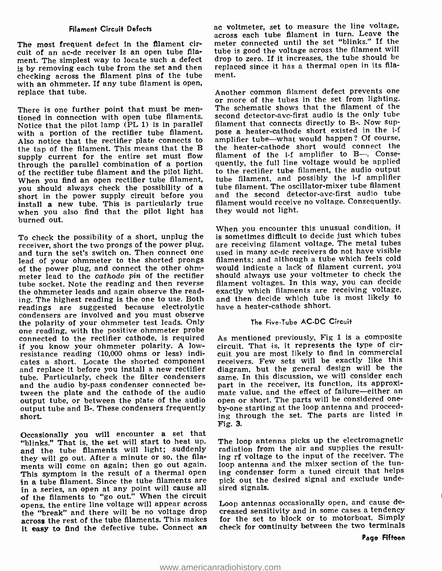## Filament Circuit Defects

The most frequent defect in the filament circuit of an ac-dc receiver is an open tube filament. The simplest way to locate such a defect is by removing each tube from the set and then checking across the filament pins of the tube with an ohmmeter. If any tube filament is open,<br>replace that tube.  $\qquad \qquad$  Another common filament defect prevents one replace that tube.

There is one further point that must be men- tioned in connection with open tube filaments. Notice that the pilot lamp (PL 1) is in parallel with a portion of the rectifier tube filament. Also notice that the rectifier plate connects to the tap of the filament. This means that the B supply current for the entire set must flow through the parallel combination of a portion of the rectifier tube filament and the pilot light. When you find an open rectifier tube filament,<br>you should always check the possibility of a short in the power supply circuit before you install a new tube. This is particularly true when you also find that the pilot light has burned out.

To check the possibility of a short, unplug the receiver, short the two prongs of the power plug, and turn the set's switch on. Then connect one lead of your ohmmeter to the shorted prongs of the power plug, and connect the other ohmmeter lead to the cathode pin of the rectifier tube socket. Note the reading and then reverse the ohmmeter leads and again observe the reading. The highest reading is the one to use. Both readings are suggested because electrolytic condensers are involved and you must observe one reading, with the positive ohmmeter probe connected to the rectifier cathode, is required<br>if you know your ohmmeter polarity. A lowresistance reading (10,000 ohms or less) indicates a short. Locate the shorted component – receivers. Few sets will be exactly like this and replace it before you install a new rectifier – diagram, but the general design will be the and replace it before you install a new rectifier tube. Particularly, check the filter condensers and the audio by-pass condenser connected between the plate and the cathode of the audio mate value, and the effect of failure—either an output tube, or between the plate of the audio open or short. The parts will be considered oneoutput tube, or between the plate of the audio open or short. The parts will be considered one-<br>output tube and B-. These condensers frequently by-one starting at the loop antenna and proceedoutput tube and B-. These condensers frequently short.

Occasionally you will encounter a set that "blinks." That is, the set will start to heat up, and the tube filaments will light; suddenly they will go out. After a minute or so, the filaments will come on again; then go out again. This symptom is the result of a thermal open in a tube filament. Since the tube filaments are in a series, an open at any point will cause all of the filaments to "go out." When the circuit opens, the entire line voltage will appear across the "break" and there will be no voltage drop across the rest of the tube filaments. This makes it easy to find the defective tube. Connect an

ac voltmeter, set to measure the line voltage, across each tube filament in turn. Leave the meter connected until the set "blinks." If the tube is good the voltage across the filament will drop to zero. If it increases, the tube should be replaced since it has a thermal open in its filament.

or more of the tubes in the set from lighting. The schematic shows that the filament of the second detector-avc-first audio is the only tube filament that connects directly to B-. Now suppose a heater-cathode short existed in the i-f amplifier tube—what would happen? Of course, the heater -cathode short would connect the filament of the i-f amplifier to B- Consequently, the full line voltage would be applied to the rectifier tube filament, the audio output tube filament, and possibly the i-f amplifier tube filament. The oscillator -mixer tube filament and the second detector -avc -first audio tube filament would receive no voltage. Consequently, they would not light.

When you encounter this unusual condition, it is sometimes difficult to decide Just which tubes are receiving filament voltage. The metal tubes used in many ac -dc receivers do not have visible filaments; and although a tube which feels cold would indicate a lack of filament current, you should always use your voltmeter to check the filament voltages. In this way, you can decide exactly which filaments are receiving voltage, and then decide which tube is most likely to have a heater -cathode shhort.

### The Five -Tube AC -DC Circuit

As mentioned previously, Fig 1 is a composite circuit. That is, it represents the type of circuit you are most likely to find in commercial receivers. Few sets will be exactly like this same. In this discussion, we will consider each part in the receiver, its function, its approximate value, and the effect of failure-either an ing through the set. The parts are listed in Fig. 3.

The loop antenna picks up the electromagnetic radiation from the air and supplies the resulting rf voltage to the input of the receiver. The loop antenna and the mixer section of the tuning condenser form a tuned circuit that helps pick out the desired signal and exclude undesired signals.

Loop antennas occasionally open, and cause decreased sensitivity and in some cases a tendency for the set to block or to motorboat. Simply check for continuity between the two terminals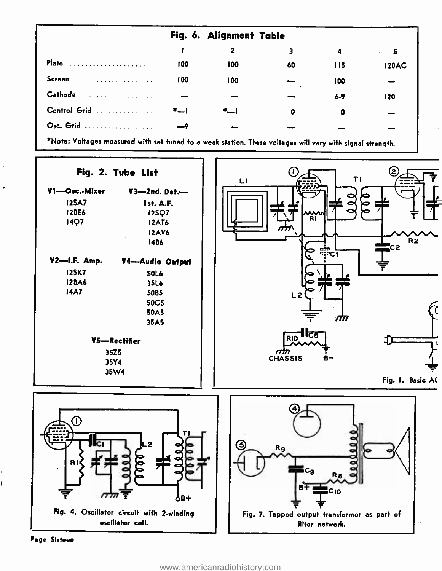|              |     | Fig. 6. Alignment Table |    |       |              |
|--------------|-----|-------------------------|----|-------|--------------|
|              |     |                         |    |       |              |
| <b>Plate</b> | 100 | 100                     | 60 | 115   | <b>120AC</b> |
| Screen       | 100 | 100                     |    | 100   |              |
| Cathode<br>. |     |                         |    | $6-9$ | 120          |
| Control Grid |     | ∗—                      | ٥  | O     |              |
| Osc. Grid    |     |                         |    |       |              |
|              |     |                         |    |       |              |

\*Note: Voltages measured with set tuned to a weak station. These voltages will vary with signal strength.

Fig. 2. Tube List

×

l

| $V3$ --2nd. Det.- |  |
|-------------------|--|
| 1st. A.F.         |  |
| 12507             |  |
| <b>12AT6</b>      |  |
| <b>12AV6</b>      |  |
| 14B6              |  |
|                   |  |

| V2---I.F. Amp. | V4-Audio Output |
|----------------|-----------------|
| 12SK7          | <b>50L6</b>     |
| <b>128A6</b>   | 35L6            |
| 14A7           | 50B5            |
|                | 50C5            |
|                | 50A5            |
|                | 35A5            |
|                | V5-Rectifier    |
|                | 35Z5            |
|                | 35Y4            |
|                | 35W4            |







Page Sixteen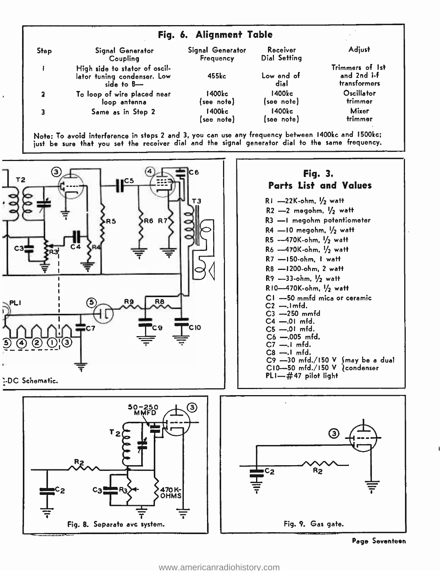| Fig. 6. Alignment Table |                                                                               |                               |                          |                                                |  |  |  |
|-------------------------|-------------------------------------------------------------------------------|-------------------------------|--------------------------|------------------------------------------------|--|--|--|
| <b>Step</b>             | Signal Generator<br>Coupling                                                  | Signal Generator<br>Frequency | Receiver<br>Dial Setting | Adjust                                         |  |  |  |
|                         | High side to stator of oscil-<br>lator tuning condenser. Low<br>side to $B$ — | 455kc                         | Low end of<br>dial       | Trimmers of 1st<br>and 2nd i-f<br>transformers |  |  |  |
| 2                       | To loop of wire placed near<br>loop antenna                                   | 1400kc<br>(see note)          | 1400kc<br>(see note)     | Oscillator<br>trimmer                          |  |  |  |
|                         | Same as in Step 2                                                             | 1400kc<br>(see note)          | 1400kc<br>(see note)     | Mixer<br>trimmer                               |  |  |  |

Note: To avoid interference in steps 2 and 3, you can use any frequency between 1400kc and 1500ke; just be sure that you set the receiver dial and the signal generator dial to the same frequency.



Page Seventeen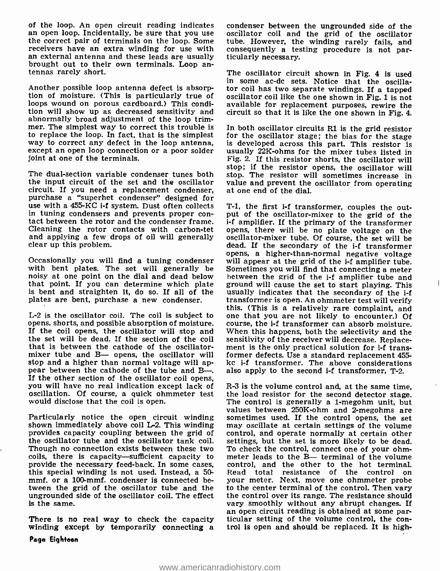of the loop. An open circuit reading indicates an open loop. Incidentally, be sure that you use the correct pair of terminals on the loop. Some receivers have an extra winding for use with an external antenna and these leads are usually brought out to their own terminals. Loop antennas rarely short.

Another possible loop antenna defect is absorp-<br>tion of moisture. (This is particularly true of oscillator coil like the one shown in Fig. 1 is not loops wound on porous cardboard.) This condition will show up as decreased sensitivity and abnormally broad adjustment of the loop trim- mer. The simplest way to correct this trouble is to replace the loop. In fact, that is the simplest way to correct any defect in the loop antenna, except an open loop connection or a poor solder joint at one of the terminals.

The dual-section variable condenser tunes both the input circuit of the set and the oscillator value and prevent the circuit. If you need a replacement condenser, at one end of the dial. purchase a "superhet condenser" designed for use with a 455-KC i-f system. Dust often collects in tuning condensers and prevents proper con- tact between the rotor and the condenser frame. Cleaning the rotor contacts with carbon-tet and applying a few drops of oil will generally clear up this problem.

Occasionally you will find a tuning condenser will appear at the grid of the i-f amplifier tube. with bent plates. The set will generally be noisy at one point on the dial and dead below that point. If you can determine which plate plates are bent, purchase a new condenser.

L-2 is the oscillator coil. The coil is subject to one that you are not likely to encounter.) Of opens, shorts, and possible absorption of moisture. If the coil opens, the oscillator will stop and When this happens, both the selectivity and the the set will be dead. If the section of the coil sensitivity of the receiver will decrease. Replacethe set will be dead. If the section of the coil mixer tube and B- opens, the oscillator will former defects. Use a standard replacement 455stop and a higher than normal voltage will appear between the cathode of the tube and B---. If the other section of the oscillator coil opens, you will have no real indication except lack of R-3 is the volume control and, at the same time, oscillation. Of course, a quick ohmmeter test the load resistor for the second detector stage. oscillation. Of course, a quick ohmmeter test would disclose that the coil is open.

Particularly notice the open circuit winding shown immediately above coil L-2. This winding provides capacity coupling between the grid of the oscillator tube and the oscillator tank coil. Though no connection exists between these two coils, there is capacity—sufficient capacity to provide the necessary feed -back. In some cases, this special winding is not used. Instead, a 50 mmf. or a 100-mmf. condenser is connected between the grid of the oscillator tube and the to the center terminal of the control. Then vary ungrounded side of the oscillator coil. The effect the control over its range. The resistance should ungrounded side of the oscillator coil. The effect the control over its range. The resistance should is the same.<br>vary smoothly without any abrupt changes. If is the same.

There is no real way to check the capacity winding except by temporarily connecting a

condenser between the ungrounded side of the oscillator coil and the grid of the oscillator tube. However, the winding rarely fails, and consequently a testing procedure is not par-<br>ticularly necessary.

The oscillator circuit shown in Fig. 4 is used in some ac -dc sets. Notice that the oscillator coil has two separate windings. If a tapped available for replacement purposes, rewire the circuit so that it is like the one shown in Fig. 4.

In both oscillator circuits Rl is the grid resistor for the oscillator stage; the bias for the stage is developed across this part. This resistor is usually 22K -ohms for the mixer tubes listed in Fig. 2. If this resistor shorts, the oscillator will stop; if the resistor opens, the oscillator will stop. The resistor will sometimes increase in value and prevent the oscillator from operating

is bent and straighten it, do so. If all of the usually indicates that the secondary of the i-f plates are bent, purchase a new condenser. transformer is open. An ohmmeter test will verify T-1, the first i-f transformer, couples the output of the oscillator-mixer to the grid of the <sup>i</sup>-f amplifier. If the primary of the transformer opens, there will be no plate voltage on the oscillator -mixer tube. Of course, the set will be dead. If the secondary of the i-f transformer opens, a higher-than-normal negative voltage Sometimes you will find that connecting a meter hetween the grid of the i-f amplifier tube and ground will cause the set to start playing. This usually indicates that the secondary of the i-f this. (This is a relatively rare complaint, and course, the i-f transformer can absorb moisture. When this happens, both the selectivity and the ment is the only practical solution for i-f transkc i-f transformer. The above considerations also apply to the second i-f transformer, T-2.

> R -3 is the volume control and, at the same time, The control is generally a 1-megohm unit, but values between 250K-ohm and 2-megohms are sometimes used. If the control opens, the set may oscillate at certain settings of the volume control, and operate normally at certain other settings, but the set is more likely to be dead. To check the control, connect one of your ohmmeter leads to the B- terminal of the volume control, and the other to the hot terminal. Read total resistance of the control on your meter. Next, move one ohmmeter probe to the center terminal of the control. Then vary an open circuit reading is obtained at some par-<br>ticular setting of the volume control, the con-<br>trol is open and should be replaced. It is high-

Page Eighteen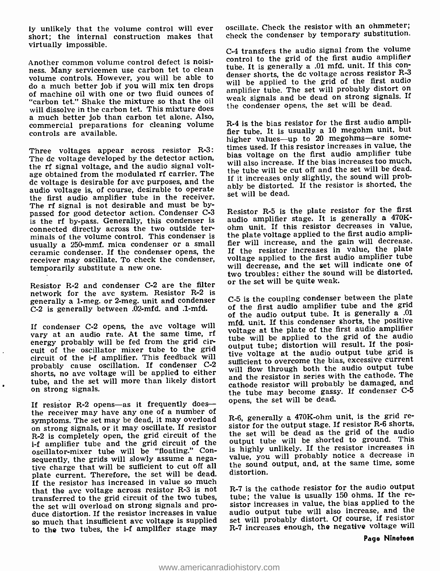ly unlikely that the volume control will ever short; the internal construction makes that virtually impossible.

Another common volume control defect is noisi-<br>ness. Many servicemen use carbon tet to clean<br> $\frac{100e}{2}$ . It is generally a .01 mfd. unit, if this capaca position  $R<sup>-2</sup>$ volume controls. However, you will be able to do a much better job if you will mix ten drops will be applied to the grid of the life that additional contains oil with one on two fluid ounces of amplifier tube. The set will probably distort on of machine oil with one or two fluid ounces of "carbon tet." Shake the mixture so that the oil will dissolve in the carbon tet. This mixture does a much better job than carbon tet alone. Also, commercial preparations for cleaning volume controls are available.

Three voltages appear across resistor R-3: The dc voltage developed by the detector action, the rf signal voltage, and the audio signal voltage obtained from the modulated rf carrier. The dc voltage is desirable for ave purposes, and the audio voltage is, of course, desirable to operate the first audio amplifier tube in the receiver. The rf signal is not desirable and must be bypassed for good detector action. Condenser C-3 is the rf by-pass. Generally, this condenser is connected directly across the two outside ter-minals of the volume control. This condenser is usually a 250-mmf. mica condenser or a small ceramic condenser. If the condenser opens, the receiver may oscillate. To check the condenser, temporarily substitute a new one.

Resistor R-2 and condenser C-2 are the filter or the set will be quite weak. network for the avc system. Resistor R-2 is generally a 1-meg. or 2-meg. unit and condenser C-2 is generally between .02-mfd. and .1-mfd.

If condenser C-2 opens, the avc voltage will vary at an audio rate. At the same time, rf energy probably will be fed from the grid circuit of the oscillator mixer tube to the grid circuit of the i-f amplifier. This feedback will probably cause oscillation. If condenser C-2 shorts, no ave voltage will be applied to either tube, and the set will more than likely distort on strong signals.

If resistor R-2 opens-as it frequently doesthe receiver may have any one of a number of<br>symptoms. The set may be dead, it may overload. R-6, generally a 470K-ohm unit, is the grid resymptoms. The set may be dead, it may overload on strong signals, or it may oscillate. If resistor R -2 is completely open, the grid circuit of the <sup>i</sup>-f amplifier tube and the grid circuit of the oscillator-mixer tube will be "floating." Consequently, the grids will slowly assume a negative charge that will be sufficient to cut off all the sound<br>plate quantity. Therefore, the set will be dead distortion. plate current. Therefore, the set will be dead. If the resistor has increased in value so much that the avc voltage across resistor R-3 is not transferred to the grid circuit of the two tubes, tube; the value is usually 150 ohms. If the re-<br>the set will overload on strong signals and pro-<br>sistor increases in value, the bias applied to the the set will overload on strong signals and produce distortion. If the resistor increases in value so much that insufficient avc voltage is supplied to the two tubes, the i-f amplifier stage may

oscillate. Check the resistor with an ohmmeter; check the condenser by temporary substitution.

C -4 transfers the audio signal from the volume control to the grid of the first audio amplifier denser shorts, the dc voltage across resistor R-3 will be applied to the grid of the first audio weak signals and be dead on strong signals. If the condenser opens, the set will be dead.

R -4 is the bias resistor for the first audio amplifier tube. It is usually a 10 megohm unit, but<br>higher values—up to 20 megohms—are sometimes used. If this resistor increases in value, the bias voltage on the first audio amplifier tube will also increase. If the bias increases too much, the tube will be cut off and the set will be dead. If it increases only slightly, the sound will probably be distorted. If the resistor is shorted, the set will be dead.

Resistor R-5 is the plate resistor for the first audio amplifier stage. It is generally a 470Kohm unit. If this resistor decreases in value, the plate voltage applied to the first audio amplifier will increase, and the gain will decrease. If the resistor increases in value, the plate voltage applied to the first audio amplifier tube will decrease, and the set will indicate one of two troubles: either the sound will be distorted,

<sup>C</sup>-5 is the coupling condenser between the plate of the first audio amplifier tube and the grid of the audio output tube. It is generally a .01 mfd. unit. If this condenser shorts, the positive voltage at the plate of the first audio amplifier tube will be applied to the grid of the audio output tube; distortion will result. If the positive voltage at the audio output tube grid is sufficient to overcome the bias, excessive current will flow through both the audio output tube and the resistor in series with the cathode. The cathode resistor will probably be damaged, and the tube may become gassy. If condenser C-5 opens, the set will be dead.

sistor for the output stage. If resistor R-6 shorts, the set will be dead as the grid of the audio output tube will be shorted to ground. This is highly unlikely. If the resistor increases in value, you will probably notice a decrease in the sound output, and, at the same time, some

<sup>R</sup>-7 is the cathode resistor for the audio output tube; the value is usually 150 ohms. If the reaudio output tube will also increase, and the set will probably distort. Of course, if resistor R-7 increases enough, the negative voltage will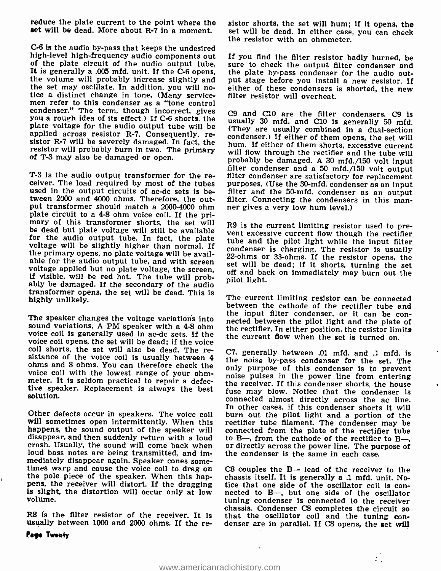reduce the plate current to the point where the set will be dead. More about R-7 in a moment.

C-6 is the audio by-pass that keeps the undesired<br>high-level high-frequency audio components out If you find the filter resistor badly burned, be high-level high-frequency audio components out of the plate circuit of the audio output tube. It is generally a .005 mfd. unit. If the C-6 opens, the plate by-pass condenser for the audio out-<br>the volume will probably increase slightly and put stage before you install a new resistor. If<br>the set may oscillate. In ad the set may oscillate. In addition, you will no-<br>tice a distinct change in tone. (Many service-<br>men refer to this condenser as a "tone control condenser." The term, though incorrect, gives cg you a rough idea of its effect.) If C-6 shorts, the plate voltage for the audio output tube will be applied across resistor R-7. Consequently, resistor R-7 will be severely damaged. In fact, the resistor will probably burn in two. The primary of T-3 may also be damaged or open.

used in the output circuits of ac-dc sets is between 2000 and 4000 ohms. Therefore, the outtween 2000 and 4000 ohms. Therefore, the out-<br>put transformer should match a 2000-4000 ohm er gives a very low hum level.) plate circuit to a 4-8 ohm voice coil. If the primary of this transformer shorts, the set will R9 is the current limiting resistor used to prebe dead but plate voltage will still be available for the audio output tube. In fact, the plate voltage will be slightly higher than normal. If the primary opens, no plate voltage will be available for the audio output tube, and with screen voltage applied but no plate voltage, the screen voltage, the screen, and with screen, are set will be dead; if it shorts, turning the screen, and but no plate voltage, the s if visible, will be red hot. The tube will prob- ably be damaged. If the secondary of the audio transformer opens, the set will be dead. This is highly unlikely.

sound variations. A PM speaker with a 4-8 ohm voice coil is generally used in ac -dc sets. If the voice coil opens, the set will be dead; if the voice coil shorts, the set will also be dead. The resistance of the voice coil is usually between 4 ohms and 8 ohms. You can therefore check the only purpose of this condenser is to prevent voice coil with the lowest range of your ohmmeter. It is seldom practical to repair a defective speaker. Replacement is always the best solution.

Other defects occur in speakers. The voice coil will sometimes open intermittently. When this happens, the sound output of the speaker will disappear, and then suddenly return with a loud crash. Usually, the sound will come back when or directly across the power line. The purpose of loud bass notes are being transmitted, and immediately disappear again. Speaker cones some- times warp and cause the voice coil to drag on the pole piece of the speaker. When this happens, the receiver will distort. If the dragging is slight, the distortion will occur only at low nected to B-, but one side of the oscillator volume.

usually between 1000 and 2000 ohms. If the re-<br>Pego Twenty

sistor shorts, the set will hum; if it opens, the set will be dead. In either case, you can check the resistor with an ohmmeter.

sure to check the output filter condenser and put stage before you install a new resistor. If either of these condensers is shorted, the new filter resistor will overheat.

filter condenser and a 50 mfd./150 volt output<br>T-3 is the audio output transformer for the re-<br>ceiver. The load required by most of the tubes purposes. (Use the 30-mfd. condenser as an input C9 and C10 are the filter condensers. C9 is usually 30 mfd. and C10 is generally 50 mfd. (They are usually combined in a dual-section condenser.) If either of them opens, the set will hum. If either of them shorts, excessive current will flow through the rectifier and the tube will probably be damaged. A 30 mfd./150 volt input filter and the 50-mfd. condenser as an output

> vent excessive current flow though the rectifier tube and the pilot light while the input filter condenser is charging. The resistor is usually set will be dead; if it shorts, turning the set off and back on immediately may burn out the pilot light.

The speaker changes the voltage variations into nected between the pilot light and the plate of The current limiting resistor can be connected between the cathode of the rectifier tube and the input filter condenser, or it can be conthe rectifier. In either position, the resistor limits the current flow when the set is turned on.

> C7, generally between .01 mfd. and .1 mfd. is the noise by -pass condenser for the set. The noise pulses in the power line from entering<br>the receiver. If this condenser shorts, the house fuse may blow. Notice that the condenser is connected almost directly across the ac line. In other cases, if this condenser shorts it will burn out the pilot light and a portion of the rectifier tube filament. The condenser may be connected from the plate of the rectifier tube to B-, from the cathode of the rectifier to B-, the condenser is the same in each case.

chassis. Condenser C8 completes the circuit so<br>R8 is the filter resistor of the receiver. It is that the oscillator coil and the tuning con-<br>usually between 1000 and 2000 ohms. If the re-denser are in parallel. If C8 opens  $C8$  couples the  $B-$  lead of the receiver to the chassis itself. It is generally a .1 mfd. unit. Notice that one side of the oscillator coil is contuning condenser is connected to the receiver that the oscillator coil and the tuning con-

ЕÌ,

 $\Delta$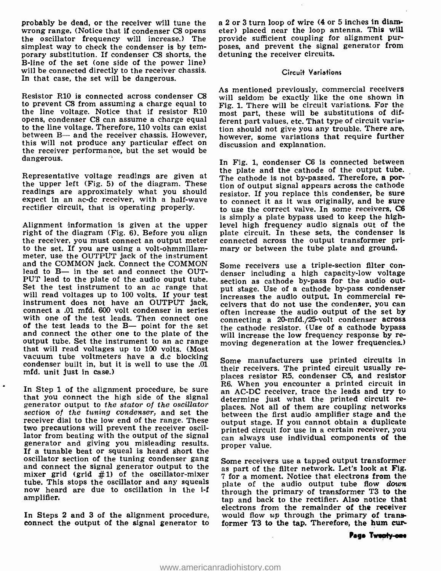probably be dead, or the receiver will tune the the oscillator frequency will increase.) The simplest way to check the condenser is by temporary substitution. If condenser C8 shorts, the B -line of the set (one side of the power line) will be connected directly to the receiver chassis. In that case, the set will be dangerous.

Resistor R10 is connected across condenser C8 to prevent C8 from assuming a charge equal to the line voltage. Notice that if resistor R10 opens, condenser C8 can assume a charge equal to the line voltage. Therefore, 110 volts can exist between B— and the receiver chassis. However, this will not produce any particular effect on the receiver performance, but the set would be dangerous.

Representative voltage readings are given at the upper left (Fig. 5) of the diagram. These readings are approximately what you should expect in an ac-dc receiver, with a half-wave rectifier circuit, that is operating properly.

Alignment information is given at the upper level high frequency audio signals out of the right of the diagram (Fig. 6). Before you align plate circuit. In these sets, the condenser is the receiver, you must connect an out to the set. If you are using a volt-ohmmillammeter, use the OUTPUT jack of the instrument and the COMMON jack. Connect the COMMON lead to  $B-$  in the set and connect the OUTlead to B— in the set and connect the OUT- denser including a high capacity-low voltage<br>PUT lead to the plate of the audio ouput tube. Section as cathode by-pass for the audio out-Set the test instrument to an ac range that will read voltages up to 100 volts. If your test  $\int$  increases the audio output. In commercial reinstrument does not have an OUTPUT jack, connect a .01 mfd. 600 volt condenser in series often increase the audio output of the set by<br>with one of the test leads. Then connect one connecting a 20-mfd./25-volt condenser across of the test leads to the  $B-$  point for the set the cathode resistor. (Use of a cathode bypass and connect the other one to the plate of the will increase the low frequency response by reoutput tube. Set the instrument to an ac range that will read voltages up to 100 volts. (Most vacuum tube voltmeters have a d.c blocking condenser built in, but it is well to use the .01 Some manufacturers use printed circ mfd. unit just in case.)

In Step 1 of the alignment procedure, be sure  $\frac{1}{2}$  an AC-DC receiver, trace the leads and try to that you connect the high side of the signal determine just what the printed circuit regenerator output to the stator o section of the tuning condenser, and set the receiver dial to the low end of the range. These two precautions will prevent the receiver oscillator from beating with the output of the signal two precautions will prevent the receiver oscil-<br>lator from beating with the output of the signal can always use individual components of the<br>generator and giving you misleading results. Froner value If a tunable beat or squeal is heard short the oscillator section of the tuning condenser gang oscillator section of the tuning condenser gang some receivers use a tapped output transformer<br>and connect the signal generator output to the sensert of the filter network. Let's look at Fig. mixer grid (grid  $#1$ ) of the oscillator-mixer tube. This stops the oscillator and any squeals now heard are due to oscillation in the i-f amplifier.

 $\bullet$ 

In Steps 2 and 3 of the alignment procedure, connect the output of the signal generator to a 2 or 3 turn loop of wire (4 or 5 inches in diameter) placed near the loop antenna. This will provide sufficient coupling for alignment purposes, and prevent the signal generator from detuning the receiver circuits.

### Circuit Variations

As mentioned previously, commercial receivers will seldom be exactly like the one shown in Fig. 1. There will be circuit variations. For the most part, these will be substitutions of different part values, etc. That type of circuit variation should not give you any trouble. There are, however, some variations that require further discussion and explanation.

In Fig. 1, condenser C6 is connected between the plate and the cathode of the output tube. The cathode is not by-passed. Therefore, a portion of output signal appears across the cathode resistor. If you replace this condenser, be sure to connect it as it was originally, and be sure to use the correct valve. In some receivers, C6 is simply a plate bypass used to keep the highplate circuit. In these sets, the condenser is connected across the output transformer primary or between the tube plate and ground.

Some receivers use a triple-section filter consection as cathode by-pass for the audio output stage. Use of a cathode by-pass condenser ceivers that do not use the condenser, you can connecting a 20-mfd./25-volt condenser across moving degeneration at the lower frequencies.)

Some manufacturers use printed circuits in places resistor R5, condenser C5, and resistor R6. When you encounter a printed circuit in determine just what the printed circuit rebetween the first audio amplifier stage and the output stage. If you cannot obtain a duplicate proper value.

as part of the filter network. Let's look at Fig. <sup>7</sup>for a moment. Notice that electrons from the plate of the audio output tube flow *down* through the primary of transformer T3 to the tap and back to the rectifier. Also notice that electrons from the remainder of the receiver would flow  $up$  through the primary of transformer T3 to the tap. Therefore, the hum cur-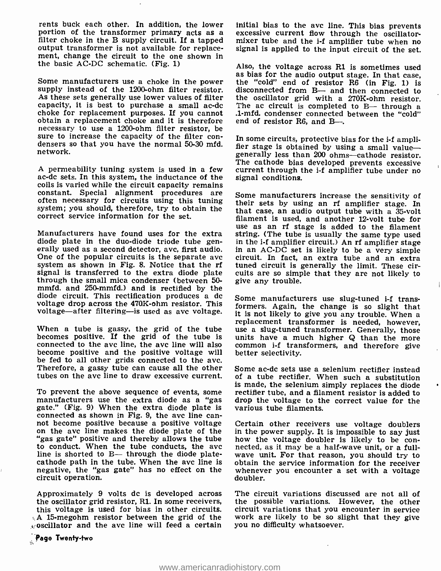rents buck each other. In addition, the lower initial bias to the avc line. This bias prevents<br>portion of the transformer primary acts as a excessive current flow through the oscillatorfilter choke in the B supply circuit. If a tapped output transformer is not available for replacement, change the circuit to the one shown in the basic AC -DC schematic. (Fig. 1)

As these sets generally use lower values of filter capacity, it is best to purchase a small ac-dc choke for replacement purposes. If you cannot obtain a replacement choke and it is therefore necessary to use a 1200-ohm filter resistor, be<br>sure to increase the capacity of the filter con-<br>densers so that you have the normal 50-30 mfd. fier stage is obtained by using a small valuenetwork.

A permeability tuning system is used in a few current through t ac-dc sets. In this system, the inductance of the signal conditions. coils is varied while the circuit capacity remains constant. Special alignment procedures are often necessary for circuits using this tuning their sets by using an rf amplifier stage. In system; you should, therefore, try to obtain the correct service information for the set.

diode plate in the duo-diode triode tube gen-<br>erally used as a second detector, avc, first audio. In an AC-DC set is likely to be a very simple<br>One of the popular circuits is the separate avc circuit. In fact, an extra tub system as shown in Fig. 8. Notice that the rf signal is transferred to the extra diode plate through the small mica condenser (between 50mmfd. and 250-mmfd.) and is rectified by the diode circuit. This rectification produces a dc voltage drop across the 470K -ohm resistor. This voltage-after filtering-is used as avc voltage.

becomes positive. If the grid of the tube is units have a much higher Q than the more connected to the avc line, the avc line will also common i-f transformers, and therefore give connected to the avc line, the avc line will also common i-f tran<br>become positive and the positive voltage will better selectivity. become positive and the positive voltage will be fed to all other grids connected to the avc. Therefore, a gassy tube can cause all the other tubes on the ave line to draw excessive current.

To prevent the above sequence of events, some manufacturers use the extra diode as a "gas gate." (Fig. 9) When the extra diode plate is connected as shown in Fig. 9, the avc line can-<br>not become positive because a positive voltage Certain other receivers use voltage doublers<br>on the avc line makes the diode plate of the in the power supply. It is impossible "gas gate" positive and thereby allows the tube to conduct. When the tube conducts, the ave line is shorted to B- through the diode plate - cathode path in the tube. When the ave line is obtain the service information for the receiver negative, the "gas gate" has no effect on the wheneve<br>circuit operation. doubler. circuit operation.

Approximately 9 volts dc is developed across the oscillator grid resistor, Rl. In some receivers, this voltage is used for bias in other circuits. A 15- megohm resistor between the grid of the oscillator and the avc line will feed a certain mixer tube and the i-f amplifier tube when no signal is applied to the input circuit of the set.

Some manufacturers use a choke in the power the "cold" end of resistor R6 (in Fig. 1) is<br>supply instead of the 1200-ohm filter resistor. disconnected from  $B_{\text{max}}$  and then connected to Also, the voltage across R1 is sometimes used as bias for the audio output stage. In that case, disconnected from B- and then connected to the oscillator grid with a 270K-ohm resistor.<br>The ac circuit is completed to B— through a .1 -mfd. condenser connected between the "cold" end of resistor R6, and B- $-$ .

> In some circuits, protective bias for the i-f ampligenerally less than 200 ohms-cathode resistor. The cathode bias developed prevents excessive current through the i-f amplifier tube under no

use as an rf stage is added to the filament<br>Manufacturers have found uses for the extra string. (The tube is usually the same type used Some manufacturers increase the sensitivity of that case, an audio output tube with a 35-volt filament is used, and another 12-volt tube for string. (The tube is usually the same type used in the i-f amplifier circuit.) An rf amplifier stage tuned circuit is generally the limit. These circuits are so simple that they are not likely to give any trouble.

replacement transformer is needed, however,<br>When a tube is gassy, the grid of the tube use a slug-tuned transformer. Generally, those Some manufacturers use slug-tuned i-f transformers. Again, the change is so slight that it is not likely to give you any trouble. When a units have a much higher  $Q$  than the more

> Some ac -dc sets use a selenium rectifier instead of a tube rectifier. When such a substitution is made, the selenium simply replaces the diode rectifier tube, and a filament resistor is added to drop the voltage to the correct value for the various tube filaments.

> Certain other receivers use voltage doublers in the power supply. It is impossible to say just obtain the service information for the receiver whenever you encounter a set with a voltage

> The circuit variations discussed are not all of the possible variations. However, the other circuit variations that you encounter in service work are likely to be so slight that they give you no difficulty whatsoever.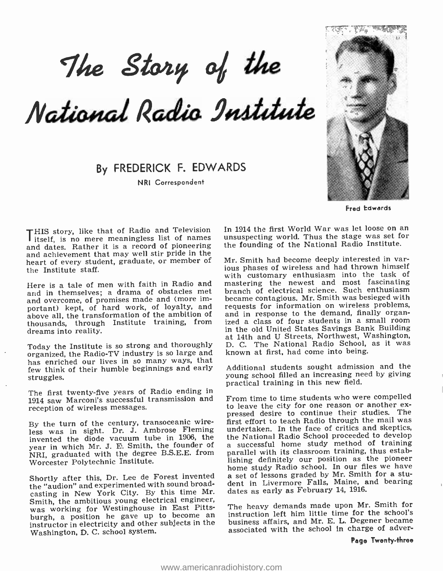The Story of the

National Radio Institute

By FREDERICK F. EDWARDS

NRI Correspondent



Fred Edwards

THIS story, like that of Radio and Television In<br>
itself, is no mere meaningless list of names un<br>
and dates. Rather it is a record of pioneering the and dates. Rather it is a record of pioneering — the founding of the National Radio Institute.<br>and achievement that may well stir pride in the<br>heart of every student, graduate, or member of — Mr. Smith had become deeply in heart of every student, graduate, or member of the Institute staff.

Here is a tale of men with faith in Radio and and in themselves; a drama of obstacles met and overcome, of promises made and (more important) kept, of hard work, of loyalty, and above all, the transformation of the ambition of thousands, through Institute training, from ized a class of four students in a small room<br>droams into reality<br>droams into reality dreams into reality.

Today the Institute is so strong and thoroughly D. C. The National Radio School, organized the Radio-TV industry is so large and known at first, had come into being. organized, the Radio -TV industry is so large and has enriched our lives in so many ways, that few think of their humble beginnings and early struggles.

The first twenty-five years of Radio ending in 1914 saw Marconi's successful transmission and From time to time students who were compelled<br>reception of wireless messages, to leave the city for one reason or another exreception of wireless messages.

By the turn of the century, transoceanic wireless was in sight. Dr. J. Ambrose Fleming undertaken. In the face of critics and skeptics, invented the diode vacuum tube in 1906, the the National Radio School proceeded to develop invented the diode vacuum tube in 1906, the year in which Mr. J. E. Smith, the founder of NRI, graduated with the degree B.S.E.E. from Worcester Polytechnic Institute.

Shortly after this, Dr. Lee de Forest invented the "audion" and experimented with sound broadcasting in New York City. By this time Mr. Smith, the ambitious young electrical engineer, was working for Westinghouse in East Pittsburgh, a position he gave up to become an instructor in electricity and other subjects in the Washington, D. C. school system.

In 1914 the first World War was let loose on an unsuspecting world. Thus the stage was set for the founding of the National Radio Institute.

ious phases of wireless and had thrown himself with customary enthusiasm into the task of mastering the newest and most fascinating branch of electrical science. Such enthusiasm became contagious. Mr. Smith was besieged with requests for information on wireless problems, and in response to the demand, finally organized a class of four students in a small room at 14th and U Streets, Northwest, Washington, D. C. The National Radio School, as it was

Additional students sought admission and the young school filled an increasing need by giving practical training in this new field.

From time to time students who were compelled pressed desire to continue their studies. The first effort to teach Radio through the mail was undertaken. In the face of critics and skeptics, a successful home study method of training parallel with its classroom training, thus establishing definitely our position as the pioneer<br>home study Radio school. In our files we have a set of lessons graded by Mr. Smith for a student in Livermore Falls, Maine, and bearing dates as early as February 14, 1916.

The heavy demands made upon Mr. Smith for instruction left him little time for the school's business affairs, and Mr. E. L. Degener became associated with the school In charge of adver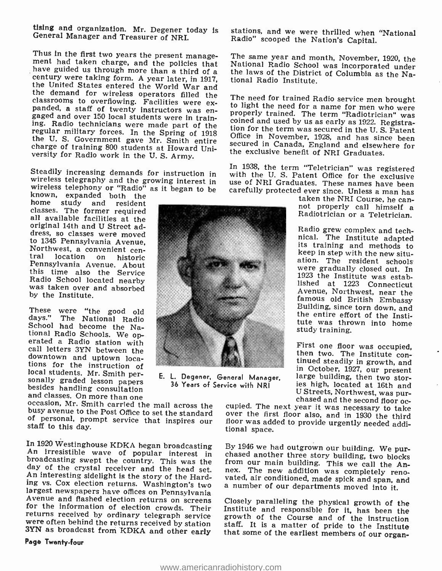Using and organization. Mr. Degener today is General Manager and Treasurer of NRI.

Thus in the first two years the present management had taken charge, and the policies that have guided us through more than a third of a century were taking form. A year later, in 1917, the United States entered the World

Steadily increasing demands for instruction in wireless telegraphy and the growing interest in wireless telephony or "Radio" as it began to be known, expanded both the

home study and resident<br>classes. The former required all available facilities at the original 14th and U Street address, so classes were moved to 1345 Pennsylvania Avenue, Northwest, a convenient cen-<br>tral location on historic Pennsylvania Avenue. About<br>this time also the Service<br>Radio School located nearby was taken over and absorbed by the Institute.

These were "the good old days." The National Radio<br>
days." The National Radio<br>
School had become the National Radio<br>
erated a Radio station with<br>
erated a Radio station the<br>
downtown and uptown loca-<br>
tions for the instruc

In 1920 Westinghouse KDKA began broadcasting By 1946 we had outgrown our building. We pur-<br>An irresistible wave of popular interest in chased another three story building, two blocks<br>broadcasting swept the country. This w

Page Twenty -four

E. L. Degener, General Manager. 36 Years of Service with NRI

stations, and we were thrilled when "National Radio" scooped the NatIon's Capital.

The same year and month, November, 1920, the National Radio School was incorporated under the laws of the District of Columbia as the Na- tional Radio Institute.

The need for trained Radio service men brought<br>to light the need for a name for men who were<br>properly trained. The term "Radiotrician" was<br>coined and used by us as early as 1922. Registra-<br>tion for the term was secured in secured in Canada, England and elsewhere for<br>the exclusive benefit of NRI Graduates.

In 1938, the term "Teletrician" was registered<br>with the U.S. Patent Office for the exclusive<br>use of NRI Graduates. These names have been<br>carefully protected ever since. Unless a man has<br>taken the NRI Course, he can-<br>not pr

Radio grew complex and tech-<br>nical. The Institute adapted<br>its training and methods to<br>keep in step with the new situ-<br>ation. The resident schools<br>were gradually closed out. In 1923 the Institute was estab-<br>lished at 1223 Connecticut Avenue, Northwest, near the famous old British Embassy Building, since torn down, and the entire effort of the InstItute was thrown into home study training.

First one floor was occupied,<br>then two. The Institute con-<br>tinued steadily in growth, and in October, 1927, our present<br>large building, then two stor-<br>ies high, located at 16th and<br>U Streets, Northwest, was pur-

cupied. The next year it was necessary to take over the first floor also, and in 1930 the third floor was added to provide urgently needed additional space.

vated, air conditioned, made spick and span, and

Closely paralleling the physical growth of the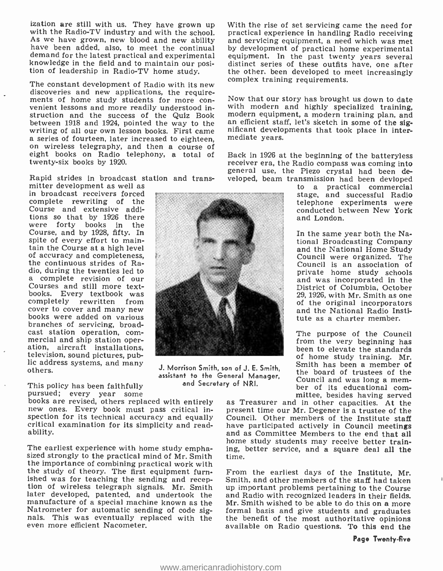ization are still with us. They have grown up With the rise of set servicing came the need for<br>with the Radio-TV industry and with the school. practical experience in handling Radio receiving<br>As we have grown, new blood an have been added, also, to meet the continual by development of practical home experimental demand for the latest practical and experimental equipment. In the past twenty years several knowledge in the field and to maintain our posi-<br>tion of leadership in Radio-TV home study.

The constant development of Radio with its new discoveries and new applications, the require-<br>ments of home study students for more con-<br>venient lessons and more readily understood instruction and the success of the Quiz Book – modern-equipment, a modern-training plan, and between 1918 and 1924, pointed the way to the  $\frac{1}{2}$ between 1918 and 1924, pointed the way to the an efficient staff, let's sketch in some of the sig-<br>writing of all our own lesson books. First came all nificant developments that took place in interwriting of all our own lesson books. First came<br>a series of fourteen, later increased to eighteen,<br>on wireless telegraphy, and then a course of twenty-six books by 1920.

Rapid strides in broadcast station and trans-

mitter development as well as in broadcast receivers forced complete rewriting of the Course and extensive additions so that by 1926 there were forty books in the Course, and by 1928, fifty. In spite of every effort to maintain the Course at a high level of accuracy and completeness, the continuous strides of Raa complete revision of our Courses and still more textbooks. Every textbook was completely rewritten from cover to cover and many new books were added on various branches of servicing, broad-<br>cast station operation, commercial and ship station operation, com-<br>ation, aircraft installations, television, sound pictures, pub-<br>lic address systems, and many<br>others.



The earliest experience with home study empha- sized strongly to the practical mind of Mr. Smith the importance of combining practical work with the study of theory. The first equipment furnished was for teaching the sending and recep- tion of wireless telegraph signals. Mr. Smith later developed, patented, and undertook the manufacture of a special machine known as the Mr. Smith wished to be able to do this on a more<br>Natrometer for automatic sending of code sig- formal basis and give students and graduates nals. This was eventually replaced with the even more efficient Nacometer.

With the rise of set servicing came the need for and servicing equipment, a need which was met equipment. In the past twenty years several distinct series of these outfits have, one after the other, been developed to meet increasingly complex training requirements.

Now that our story has brought us down to date with modern and highly specialized training, mediate years.

eight books on Radio telephony, a total of Back in 1926 at the beginning of the batteryless general use, the Piezo crystal had been developed, beam transmission had been devloped

> to a practical commercial stage, and successful Radio telephone experiments were conducted between New York and London.

In the same year both the National Broadcasting Company and the National Home Study Council were organized. The Council is an association of private home study schools and was incorporated in the District of Columbia, October of the original incorporators<br>and the National Radio Institute as a charter member.

The purpose of the Council from the very beginning has been to elevate the standards of home study training. Mr. Smith has been a member of the board of trustees of the

Y <sup>or NRI</sup>. ber of its educational com-<br>mittee, besides having served<br>as Treasurer and in other capacities. At the present time our Mr. Degener is a trustee of the Council. Other members of the Institute staff<br>have participated actively in Council meetings and as Committee Members to the end that all home study students may receive better training, better service, and a square deal all the time.

From the earliest days of the Institute, Mr. Smith, and other members of the staff had taken up important problems pertaining to the Course and Radio with recognized leaders in their fields. Mr. Smith wished to be able to do this on a more formal basis and give students and graduates the benefit of the most authoritative opinions available on Radio questions. To this end the



J. Morrison Smith, son of J. E. Smith, assistant to the General Manager, the board of trustees of the and Secretary of NRI.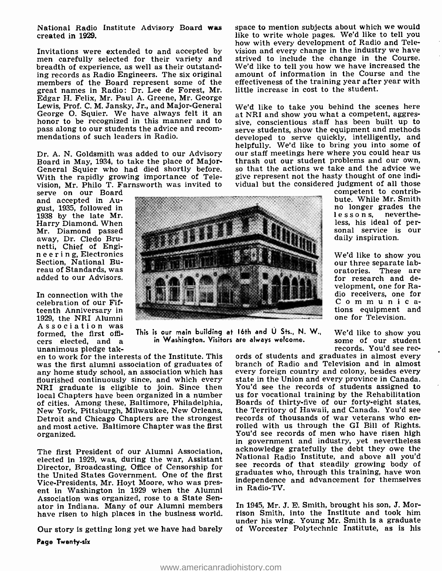National Radio Institute Advisory Board was created in 1929.

Invitations were extended to and accepted by men carefully selected for their variety and breadth of experience, as well as their outstanding records as Radio Engineers. The six original members of the Board represent some of the great names in Radio: Dr. Lee de Forest, Mr. Edgar H. Felix, Mr. Paul A. Greene, Mr. George Lewis, Prof. C. M. Jansky, Jr., and Major -General George O. Squier. We have always felt it an  $\frac{1}{100}$  at NRI and show you what a competent, aggres-<br>honor to be recognized in this manner and to sive, conscientious staff has been built up to pass along to our students the advice and recom- mendations of such leaders in Radio.

Board in May, 1934, to take the place of Major- thrash out our student problems and our own,<br>General Squier who had died shortly before. So that the actions we take and the advice we<br>With the rapidly growing importance of With the rapidly growing importance of Television, Mr. Philo T. Farnsworth was invited to serve on our Board

and accepted in August, 1935, followed in 1938 by the late Mr. Harry Diamond. When Mr. Diamond passed away, Dr. Cledo Bru-<br>netti, Chief of Engineer in g, Electronics Section, National Bureau of Standards, was added to our Advisors.

In connection with the celebration of our Fifteenth Anniversary in<br>1929, the NRI Alumni space to mention subjects about which we would like to write whole pages. We'd like to tell you how with every development of Radio and Television and every change in the industry we have strived to include the change in the Course. We'd like to tell you how we have increased the amount of information in the Course and the effectiveness of the training year after year with little increase in cost to the student.

Dr. A. N. Goldsmith was added to our Advisory — our staff meetings here where you could hear us<br>Board in May, 1934, to take the place of Major- — thrash out our student problems and our own, We'd like to take you behind the scenes here at NRI and show you what a competent, aggresserve students, show the equipment and methods developed to serve quickly, intelligently, and helpfully. We'd like to bring you into some of so that the actions we take and the advice we vidual but the considered judgment of all those



Association was<br>
formed, the first offi- This is our main building at 16th and U Sts., N. W., We'd like to show you<br>
cers elected, and a unanimous pledge tak-<br>
unanimous pledge tak-<br>
en to work for the interests of the Ins This is our main building at 16th and U Sts., N. W., in Washington. Visitors are always welcome.

any home study school, an association which has flourished continuously since, and which every state in the Union and every province in Canada.<br>NRI graduate is eligible to join. Since then You'd see the records of students assigned to NRI graduate is eligible to join. Since then local Chapters have been organized in a number of cities. Among these, Baltimore, Philadelphia, New York, Pittsburgh, Milwaukee, New Orleans, the Territory of Hawaii, and Canada. You'd see<br>Detroit and Chicago Chapters are the strongest records of thousands of war veterans who enand most active. Baltimore Chapter was the first rolled with us through the GI Bill of Rights. organized.

elected in 1929, was, during the war, Assistant Director, Broadcasting, Office of Censorship for see records of that steadily growing body of<br>the United States Covennment, One of the first graduates who, through this training, have won the United States Government. One of the first Vice -Presidents, Mr. Hoyt Moore, who was present in Washington in 1929 when the Alumni Association was organized, rose to a State Senator in Indiana. Many of our Alumni members have risen to high places in the business world.

Our story is getting long yet we have had barely

Page Twenty-six

We'd like to show you some of our student

competent to contribbute. While Mr. Smith no longer grades the lessons, neverthe-

less, his ideal of per-<br>sonal service is our daily inspiration.

We'd like to show you<br>our three separate laboratories. These are for research and development, one for Radio receivers, one for Communications equipment and one for Television.

The first President of our Alumni Association, acknowledge gratefully the debt they owe the<br>closted in 1929, was during the war, Assistant. National Radio Institute, and above all you'd branch of Radio and Television and in almost every foreign country and colony, besides every state in the Union and every province in Canada. us for vocational training by the Rehabilitation Boards of thirty -five of our forty -eight states, the Territory of Hawaii, and Canada. You'd see You'd see records of men who have risen high in government and industry, yet nevertheless acknowledge gratefully the debt they owe the see records of that steadily growing body of independence and advancement for themselves in Radio -TV.

> In 1945, Mr. J. E. Smith, brought his son, J. Morrison Smith, into the Institute and took him under his wing. Young Mr. Smith is a graduate of Worcester Polytechnic Institute, as is his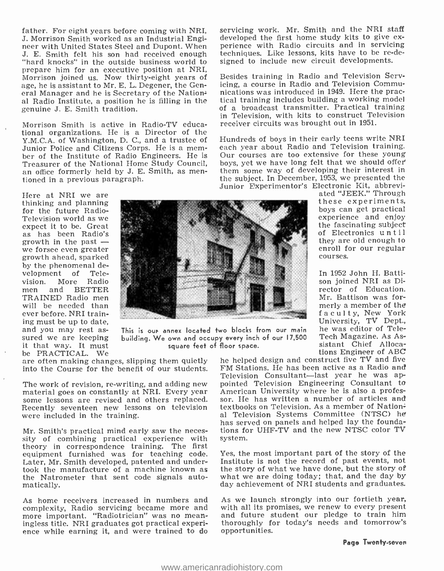father. For eight years before coming with NRI, servicing work. Mr. Smith and the NRI staff<br>J. Morrison Smith worked as an Industrial Engi- developed the first home study kits to give ex-J. Morrison Smith worked as an Industrial Engineer with United States Steel and Dupont. When J. E. Smith felt his son had received enough "hard knocks" in the outside business world to prepare him for an executive position at NRI, Morrison joined us. Now thirty-eight years of age, he is assistant to Mr. E. L. Degener, the General Manager and he is Secretary of the National Radio Institute, a position he is filling in the genuine J. E. Smith tradition.

Morrison Smith is active in Radio-TV educational organizations. He is a Director of the Y.M.C.A. of Washington, D. C., and a trustee of Junior Police and Citizens Corps. He is a member of the Institute of Radio Engineers. He is Treasurer of the National Home Study Council, an office formerly held by J. E. Smith, as mentioned in a previous paragraph.

Here at NRI we are thinking and planning<br>for the future Radio-<br>Television world as we<br>expect it to be. Great<br>as has been Radio's<br>growth in the past we forsee even greater<br>growth ahead, sparked by the phenomenal development of Television. More Radio men and BETTER will be needed than<br>ever before. NRI training must be up to date, sured we are keeping<br>it that way. It must be PRACTICAL. We



This is our annex located two blocks from our main building. We own and occupy every inch of our 17,500 square feet of floor space.

are often making changes, slipping them quietly into the Course for the benefit of our students.

The work of revision, re-writing, and adding new material goes on constantly at NRI. Every year some lessons are revised and others replaced. Recently seventeen new lessons on television were included in the training.

Mr. Smith's practical mind early saw the neces- sity of combining practical experience with theory in correspondence training. The first equipment furnished was for teaching code. Later, Mr. Smith developed, patented and undertook the manufacture of a machine known as the Natrometer that sent code signals automatically.

complexity, Radio servicing became more and more important. "Radiotrician" was no mean-<br>ingless title. NRI graduates got practical experi-<br>ence while earning it, and were trained to do

servicing work. Mr. Smith and the NRI staff perience with Radio circuits and in servicing techniques. Like lessons, kits have to be re-designed to include new circuit developments.

Besides training in Radio and Television Servicing, a course in Radio and Television Communications was introduced in 1949. Here the practical training includes building a working model of a broadcast transmitter. Practical training in Television, with kits to construct Television receiver circuits was brought out in 1951.

Hundreds of boys in their early teens write NRI each year about Radio and Television training. Our courses are too extensive for these young boys, yet we have long felt that we should offer them some way of developing their interest in the subject. In December, 1953, we presented the Junior Experimentor's Electronic Kit, abbrevi-

ated "JEEK." Through these experiments, experience and enjoy the fascinating subject of Electronics u n t i l they are old enough to enroll for our regular courses.

In 1952 John H. Batti- son joined NRI as Director of Education. Mr. Battison was forfaculty, New York University, TV Dept., he was editor of Tele-Tech Magazine. As Assistant Chief Allocations Engineer of ABC

he helped design and construct five TV and five FM Stations. He has been active as a Radio and Television Consultant-last year he was appointed Television Engineering Consultant to sor. He has written a number of articles and textbooks on Television. As a member of National Television Systems Committee (NTSC) he has served on panels and helped lay the foundations for UHF -TV and the new NTSC color TV system.

Yes, the most important part of the story of the Institute is not the record of past events, not the story of what we have done, but the story of what we are doing today; that, and the day by day achievement of NRI students and graduates.

As home receivers increased in numbers and As we launch strongly into our fortieth year, complexity, Radio servicing became more and with all its promises, we renew to every present As we launch strongly into our fortieth year, and future student our pledge to train him thoroughly for today's needs and tomorrow's opportunities.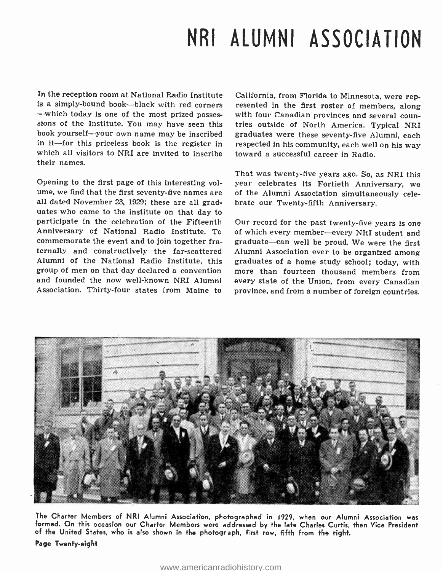## NRI ALUMNI ASSOCIATION

In the reception room at National Radio Institute is a simply-bound book—black with red corners resented in the first roster of members, along -which today is one of the most prized possessions of the Institute. You may have seen this book yourself--your own name may be inscribed in it-for this priceless book is the register in which all visitors to NRI are invited to inscribe toward a successful career in Radio.<br>their names.

Opening to the first page of this interesting volume, we find that the first seventy-five names are of the Alumni Association simultaneously celeall dated November 23, 1929; these are all graduates who came to the institute on that day to participate in the celebration of the Fifteenth Anniversary of National Radio Institute. To of which every member--every NRI student and commemorate the event and to join together fraternally and constructively the far-scattered Alumni of the National Radio Institute, this group of men on that day declared a convention more than fourteen thousand members from and founded the now well-known NRI Alumni Association. Thirty -four states from Maine to

California, from Florida to Minnesota, were repwith four Canadian provinces and several coun-<br>tries outside of North America. Typical NRI graduates were these seventy -five Alumni, each respected in his community, each well on his way

That was twenty -five years ago. So, as NRI this year celebrates its Fortieth Anniversary, we brate our Twenty-fifth Anniversary.

Our record for the past twenty-five years is one graduate-can well be proud. We were the first Alumni Association ever to be organized among graduates of a home study school; today, with every state of the Union, from every Canadian province, and from a number of foreign countries.



The Charter Members of NRI Alumni Association, photographed in 1929, when our Alumni Association was<br>formed. On this occasion our Charter Members were addressed by the late Charles Curtis, then Vice President of the United States, who is also shown in the photograph, first row, fifth from the right.

Page Twenty -eight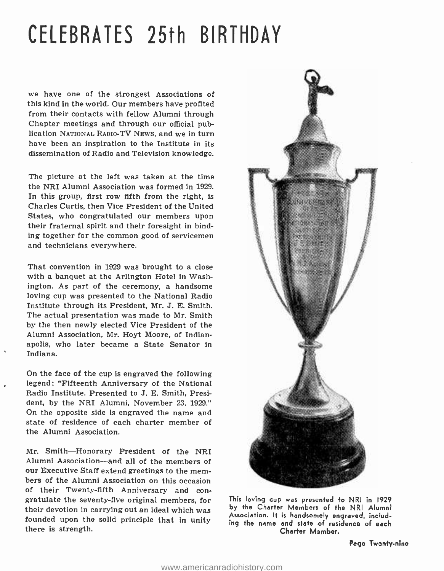## CELEBRATES 25th BIRTHDAY

we have one of the strongest Associations of this kind in the world. Our members have profited from their contacts with fellow Alumni through Chapter meetings and through our official publication NATIONAL RADIO -TV NEws, and we in turn have been an inspiration to the Institute in its dissemination of Radio and Television knowledge.

The picture at the left was taken at the time the NRI Alumni Association was formed in 1929. In this group, first row fifth from the right, is Charles Curtis, then Vice President of the United States, who congratulated our members upon their fraternal spirit and their foresight in binding together for the common good of servicemen and technicians everywhere.

That convention in 1929 was brought to a close with a banquet at the Arlington Hotel in Washington. As part of the ceremony, a handsome loving cup was presented to the National Radio Institute through its President, Mr. J. E. Smith. The actual presentation was made to Mr. Smith by the then newly elected Vice President of the Alumni Association, Mr. Hoyt Moore, of Indianapolis, who later became a State Senator in Indiana.

On the face of the cup is engraved the following legend: "Fifteenth Anniversary of the National Radio Institute. Presented to J. E. Smith, President, by the NRI Alumni, November 23, 1929." On the opposite side is engraved the name and state of residence of each charter member of the Alumni Association.

Mr. Smith-Honorary President of the NRI Alumni Association—and all of the members of our Executive Staff extend greetings to the members of the Alumni Association on this occasion of their Twenty-fifth Anniversary and con-<br>gratulate the seventy-five original members, for their devotion in carrying out an ideal which was founded upon the solid principle that in unity there is strength.



This loving cup was presented to NRI in 1929 by the Charter Members of the NRI Alumni Association. It is handsomely engraved, including the name and state of residence of each Charter Member.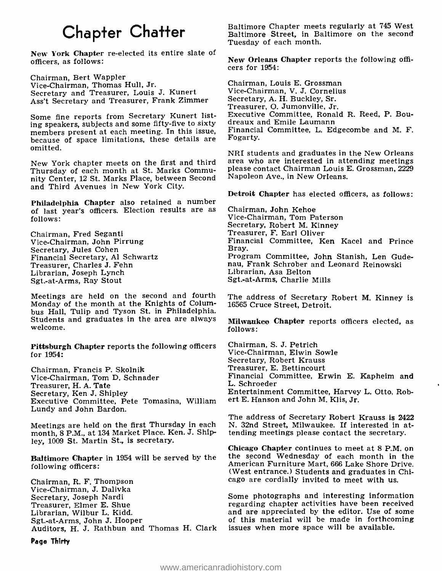## Chapter Chatter

New York Chapter re-elected its entire slate of officers, as follows:

Chairman, Bert Wappler Vice -Chairman, Thomas Hull, Jr. Secretary and Treasurer, Louis J. Kunert Ass't Secretary and Treasurer, Frank Zimmer

Some fine reports from Secretary Kunert listing speakers, subjects and some fifty -five to sixty members present at each meeting. In this issue, because of space limitations, these details are omitted.

Thursday of each month at St. Marks Community Center, 12 St. Marks Place, between Second and Third Avenues in New York City.

Philadelphia Chapter also retained a number of last year's officers. Election results are as follows:

Chairman, Fred Seganti Vice -Chairman, John Pirrung Secretary, Jules Cohen Financial Secretary, Al Schwartz Treasurer, Charles J. Fehn Librarian, Joseph Lynch Sgt.-at-Arms, Ray Stout

Meetings are held on the second and fourth Monday of the month at the Knights of Columbus Hall, Tulip and Tyson St. in Philadelphia. Students and graduates in the area are always welcome.

Pittsburgh Chapter reports the following officers for 1954:

Chairman, Francis P. Skolnik Vice -Chairman, Tom D. Schnader Treasurer, H. A. Tate Executive Committee, Pete Tomasina, William Lundy and John Bardon.

Meetings are held on the first Thursday in each month, 8 P.M., at 134 Market Place. Ken. J. Shipley, 1009 St. Martin St., is secretary.

Baltimore Chapter in 1954 will be served by the following officers:

Chairman, R. F. Thompson Vice-Chairman, J. Dalivka Secretary, Joseph Nardi Treasurer, Elmer E. Shue Librarian, Wilbur L. Kidd. Sgt.-at-Arms, John J. Hooper Auditors, H. J. Rathbun and Thomas H. Clark Baltimore Chapter meets regularly at 745 West Baltimore Street, in Baltimore on the second Tuesday of each month.

New Orleans Chapter reports the following offi- cers for 1954:

Chairman, Louis E. Grossman Vice -Chairman, V. J. Cornelius Secretary, A. H. Buckley, Sr. Treasurer, O. Jumonville, Jr. Executive Committee, Ronald R. Reed, P. Boudreaux and Emile Laumann Financial Committee, L. Edgecombe and M. F. Fogarty.

New York chapter meets on the first and third area who are interested in attending meetings<br>Thursday of each month at St. Marks Commu- please contact Chairman Louis E. Grossman, 2229 NRI students and graduates in the New Orleans area who are interested in attending meetings Napoleon Ave., in New Orleans.

Detroit Chapter has elected officers, as follows:

Chairman, John Kehoe Vice -Chairman, Tom Paterson Secretary, Robert M. Kinney Treasurer, F. Earl Oliver Financial Committee, Ken Kacel and Prince Program Committee, John Stanish, Len Gudenau, Frank Schrober and Leonard Reinowski Librarian, Asa Belton Sgt.-at-Arms, Charlie Mills

The address of Secretary Robert M. Kinney is 16565 Cruce Street, Detroit.

Milwaukee Chapter reports officers elected, as follows:

Chairman, S. J. Petrich Vice -Chairman, Elwin Sowle Secretary, Robert Krauss Treasurer, E. Bettincourt Financial Committee, Erwin E. Kapheim and L. Schroeder Entertainment Committee, Harvey L. Otto, Robert E. Hanson and John M. Klis, Jr.

The address of Secretary Robert Krauss is 2422 N. 32nd Street, Milwaukee. If interested in attending meetings please contact the secretary.

Chicago Chapter continues to meet at 8 P.M. on the second Wednesday of each month in the American Furniture Mart, 666 Lake Shore Drive. (West entrance.) Students and graduates in Chicago are cordially invited to meet with us.

Some photographs and interesting information regarding chapter activities have been received and are appreciated by the editor. Use of some of this material will be made in forthcoming issues when more space will be available.

Page Thirty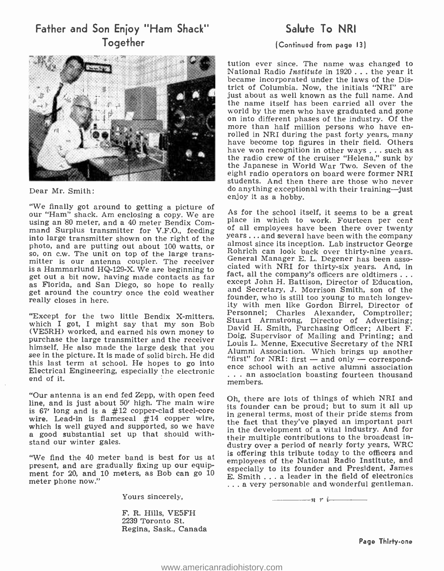## Father and Son Enjoy "Ham Shack" Together

Dear Mr. Smith:

"We finally got around to getting a picture of<br>our "Ham" shack. Am enclosing a copy. We are <br>using an 80 meter and a 40 meter Bendix Com. Place in which to work. Fourteen per cent using an 80 meter, and a 40 meter Bendix Command Surplus transmitter for V.F.O., feeding of all employees have been there over twenty<br>into large transmitter shown on the right of the  $y$ ears... and several have been with the company<br>photo and are putting out about photo, and are putting out about 100 watts, or so, on c.w. The unit on top of the large transmitter is our antenna coupler. The receiver<br>is a Hammarlund HO-129-X We are beginning to clated with NRI for thirty-six years. And, in is a Hammarlund HQ-129-X. We are beginning to clated with NR1 for thirty-six years. And, in get out a bit now, having made contacts as far fact, all the company's officers are oldtimers... get out a bit now, the mass may have been as far bit now, having made contacts and San Diego, so hope to really get around the country once the cold weather really closes in here.

(VE5RH) worked, and earned his own money to purchase the large transmitter and the receiver himself. He also made the large desk that you bould be the picture. Which brings up another see in the picture. It is made of solid birch. He did all all sociation. Which brings up another see in the picture. It is made of this last term at school. He hopes to go into<br>ence school with an active alumni association<br>this last term at school. He hopes to go into<br>ence school with an active alumni association Electrical Engineering, especially the electronic end of it.

"Our antenna is an end fed Zepp, with open feed line, and is just about  $50'$  high. The main wire is  $67'$  long and is a  $\#12$  copper-clad steel-core wire. Lead-in is flameseal  $#14$  copper wire, which is well guyed and supported, so we have a good substantial set up that should withstand our winter gales.

"We find the 40 meter band is best for us at present, and are gradually fixing up our equipment for 20, and 10 meters, as Bob can go 10 meter phone now."

Yours sincerely,

F. R. Hills, VE5FH 2239 Toronto St. Regina, Sask., Canada

## Salute To NRI

## (Continued from page 13)

tution ever since. The name was changed to National Radio Institute in 1920 ... the year it became incorporated under the laws of the District of Columbia. Now, the initials "NRI" are just about as well known as the full name. And the name itself has been carried all over the world by the men who have graduated and gone on into different phases of the industry. Of the<br>more than half million persons who have en-<br>rolled in NRI during the past forty years, many<br>have become top figures in their field. Others have won recognition in other ways ... such as the radio crew of the cruiser "Helena," sunk by the Japanese in World War Two. Seven of the eight radio operators on board were former NRI<br>students. And then there are those who never do anything exceptional with their training--just enjoy it as a hobby.

Except for the two little Bendix X-mitters, Freisonnel, Charles Alexander, Comptroner;<br>which I got, I might say that my son Bobb David H. Smith, Purchasing Officer; Albert F. As for the school itself, it seems to be a great of all employees have been there over twenty Rohrich can look back over thirty-nine years.<br>General Manager E. L. Degener has been assoand Secretary, J. Morrison Smith, son of the founder, who is still too young to match longev- ity with men like Gordon Birrel, Director of Personnel; Charles Alexander, Comptroller; Stuart Armstrong, Director of Advertising; Doig, Supervisor of Mailing and Printing; and Louis L. Menne, Executive Secretary of the NRI Alumni Association. Which brings up another "first" for NRI: first - and only - correspond- ence school with an active alumni association . .. an association boasting fourteen thousand members.

> Oh, there are lots of things of which NRI and its founder can be proud; but to sum it all up in general terms, most of their pride stems from the fact that they've played an important part in the development of a vital industry. And for their multiple contributions to the broadcast industry over a period of nearly forty years, WRC is offering this tribute today to the officers and employees of the National Radio Institute, and especially to its founder and President, James E. Smith ... a leader in the field of electronics ... a very personable and wonderful gentleman.

> > $n r$  i